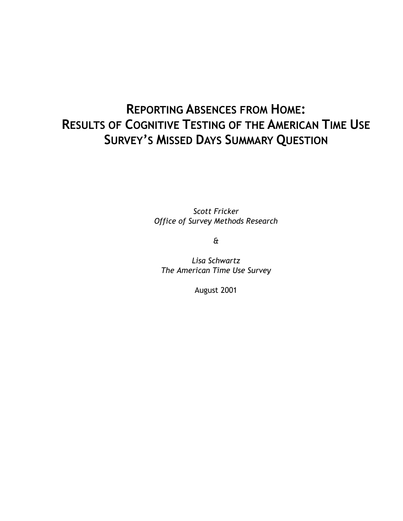# **REPORTING ABSENCES FROM HOME: RESULTS OF COGNITIVE TESTING OF THE AMERICAN TIME USE SURVEY'S MISSED DAYS SUMMARY QUESTION**

*Scott Fricker Office of Survey Methods Research* 

*&* 

*Lisa Schwartz The American Time Use Survey* 

August 2001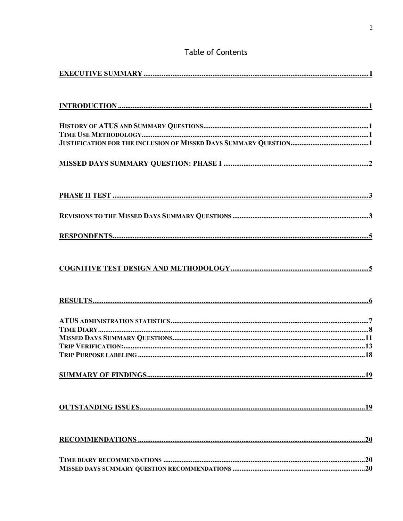# **Table of Contents**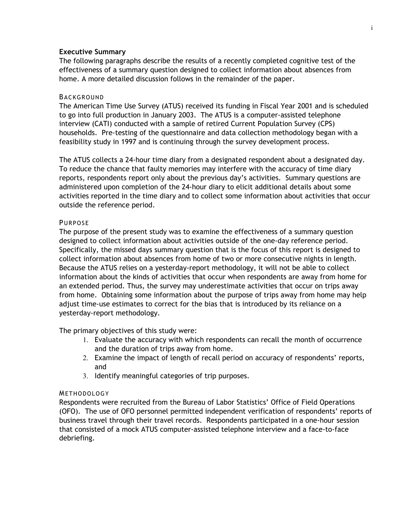# **Executive Summary**

The following paragraphs describe the results of a recently completed cognitive test of the effectiveness of a summary question designed to collect information about absences from home. A more detailed discussion follows in the remainder of the paper.

# BACKGROUND

The American Time Use Survey (ATUS) received its funding in Fiscal Year 2001 and is scheduled to go into full production in January 2003. The ATUS is a computer-assisted telephone interview (CATI) conducted with a sample of retired Current Population Survey (CPS) households. Pre-testing of the questionnaire and data collection methodology began with a feasibility study in 1997 and is continuing through the survey development process.

The ATUS collects a 24-hour time diary from a designated respondent about a designated day. To reduce the chance that faulty memories may interfere with the accuracy of time diary reports, respondents report only about the previous day's activities. Summary questions are administered upon completion of the 24-hour diary to elicit additional details about some activities reported in the time diary and to collect some information about activities that occur outside the reference period.

# PURPOSE

The purpose of the present study was to examine the effectiveness of a summary question designed to collect information about activities outside of the one-day reference period. Specifically, the missed days summary question that is the focus of this report is designed to collect information about absences from home of two or more consecutive nights in length. Because the ATUS relies on a yesterday-report methodology, it will not be able to collect information about the kinds of activities that occur when respondents are away from home for an extended period. Thus, the survey may underestimate activities that occur on trips away from home. Obtaining some information about the purpose of trips away from home may help adjust time-use estimates to correct for the bias that is introduced by its reliance on a yesterday-report methodology.

The primary objectives of this study were:

- 1. Evaluate the accuracy with which respondents can recall the month of occurrence and the duration of trips away from home.
- 2. Examine the impact of length of recall period on accuracy of respondents' reports, and
- 3. Identify meaningful categories of trip purposes.

#### **METHODOLOGY**

Respondents were recruited from the Bureau of Labor Statistics' Office of Field Operations (OFO). The use of OFO personnel permitted independent verification of respondents' reports of business travel through their travel records. Respondents participated in a one-hour session that consisted of a mock ATUS computer-assisted telephone interview and a face-to-face debriefing.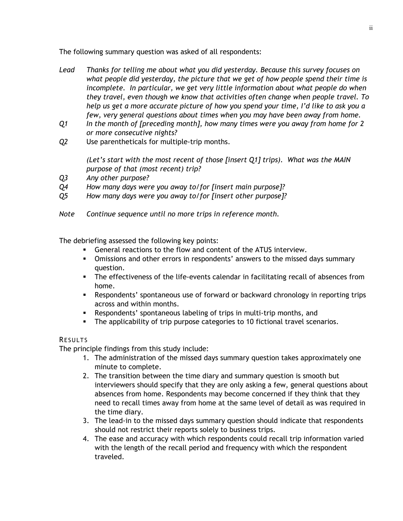The following summary question was asked of all respondents:

- *Lead Thanks for telling me about what you did yesterday. Because this survey focuses on what people did yesterday, the picture that we get of how people spend their time is incomplete. In particular, we get very little information about what people do when they travel, even though we know that activities often change when people travel. To help us get a more accurate picture of how you spend your time, I'd like to ask you a few, very general questions about times when you may have been away from home.*
- *Q1 In the month of [preceding month], how many times were you away from home for 2 or more consecutive nights?*
- *Q2* Use parentheticals for multiple-trip months.

*(Let's start with the most recent of those [insert Q1] trips). What was the MAIN purpose of that (most recent) trip?* 

- *Q3 Any other purpose?*
- *Q4 How many days were you away to/for [insert main purpose]?*
- *Q5 How many days were you away to/for [insert other purpose]?*
- *Note Continue sequence until no more trips in reference month.*

The debriefing assessed the following key points:

- General reactions to the flow and content of the ATUS interview.
- Omissions and other errors in respondents' answers to the missed days summary question.
- The effectiveness of the life-events calendar in facilitating recall of absences from home.
- Respondents' spontaneous use of forward or backward chronology in reporting trips across and within months.
- Respondents' spontaneous labeling of trips in multi-trip months, and
- **The applicability of trip purpose categories to 10 fictional travel scenarios.**

# RESULTS

The principle findings from this study include:

- 1. The administration of the missed days summary question takes approximately one minute to complete.
- 2. The transition between the time diary and summary question is smooth but interviewers should specify that they are only asking a few, general questions about absences from home. Respondents may become concerned if they think that they need to recall times away from home at the same level of detail as was required in the time diary.
- 3. The lead-in to the missed days summary question should indicate that respondents should not restrict their reports solely to business trips.
- 4. The ease and accuracy with which respondents could recall trip information varied with the length of the recall period and frequency with which the respondent traveled.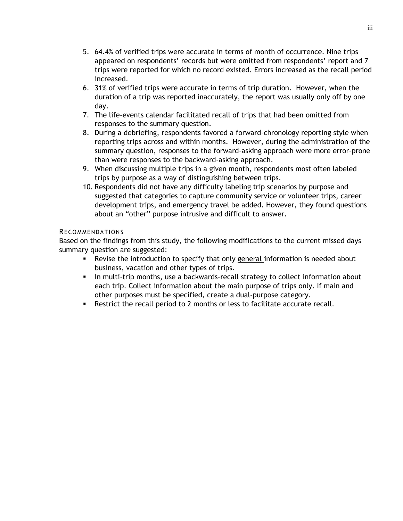- 5. 64.4% of verified trips were accurate in terms of month of occurrence. Nine trips appeared on respondents' records but were omitted from respondents' report and 7 trips were reported for which no record existed. Errors increased as the recall period increased.
- 6. 31% of verified trips were accurate in terms of trip duration. However, when the duration of a trip was reported inaccurately, the report was usually only off by one day.
- 7. The life-events calendar facilitated recall of trips that had been omitted from responses to the summary question.
- 8. During a debriefing, respondents favored a forward-chronology reporting style when reporting trips across and within months. However, during the administration of the summary question, responses to the forward-asking approach were more error-prone than were responses to the backward-asking approach.
- 9. When discussing multiple trips in a given month, respondents most often labeled trips by purpose as a way of distinguishing between trips.
- 10. Respondents did not have any difficulty labeling trip scenarios by purpose and suggested that categories to capture community service or volunteer trips, career development trips, and emergency travel be added. However, they found questions about an "other" purpose intrusive and difficult to answer.

# RECOMMENDATIONS

Based on the findings from this study, the following modifications to the current missed days summary question are suggested:

- Revise the introduction to specify that only general information is needed about business, vacation and other types of trips.
- In multi-trip months, use a backwards-recall strategy to collect information about each trip. Collect information about the main purpose of trips only. If main and other purposes must be specified, create a dual-purpose category.
- Restrict the recall period to 2 months or less to facilitate accurate recall.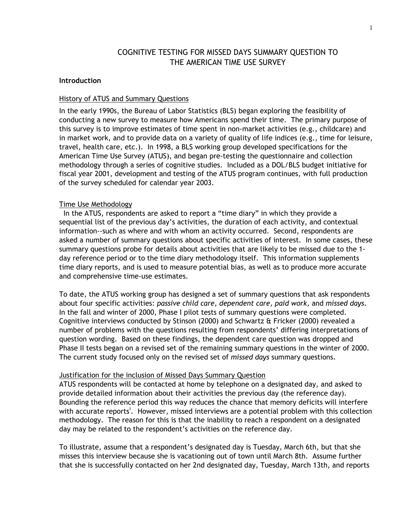# COGNITIVE TESTING FOR MISSED DAYS SUMMARY QUESTION TO THE AMERICAN TIME USE SURVEY

#### **Introduction**

#### History of ATUS and Summary Questions

In the early 1990s, the Bureau of Labor Statistics (BLS) began exploring the feasibility of conducting a new survey to measure how Americans spend their time. The primary purpose of this survey is to improve estimates of time spent in non-market activities (e.g., childcare) and in market work, and to provide data on a variety of quality of life indices (e.g., time for leisure, travel, health care, etc.). In 1998, a BLS working group developed specifications for the American Time Use Survey (ATUS), and began pre-testing the questionnaire and collection methodology through a series of cognitive studies. Included as a DOL/BLS budget initiative for fiscal year 2001, development and testing of the ATUS program continues, with full production of the survey scheduled for calendar year 2003.

#### Time Use Methodology

 In the ATUS, respondents are asked to report a "time diary" in which they provide a sequential list of the previous day's activities, the duration of each activity, and contextual information--such as where and with whom an activity occurred. Second, respondents are asked a number of summary questions about specific activities of interest. In some cases, these summary questions probe for details about activities that are likely to be missed due to the 1 day reference period or to the time diary methodology itself. This information supplements time diary reports, and is used to measure potential bias, as well as to produce more accurate and comprehensive time-use estimates.

To date, the ATUS working group has designed a set of summary questions that ask respondents about four specific activities: *passive child care, dependent care, paid work,* and *missed days*. In the fall and winter of 2000, Phase I pilot tests of summary questions were completed. Cognitive interviews conducted by Stinson (2000) and Schwartz & Fricker (2000) revealed a number of problems with the questions resulting from respondents' differing interpretations of question wording. Based on these findings, the dependent care question was dropped and Phase II tests began on a revised set of the remaining summary questions in the winter of 2000. The current study focused only on the revised set of *missed days* summary questions.

#### Justification for the inclusion of Missed Days Summary Question

ATUS respondents will be contacted at home by telephone on a designated day, and asked to provide detailed information about their activities the previous day (the reference day). Bounding the reference period this way reduces the chance that memory deficits will interfere with accurate reports<sup>i</sup>. However, missed interviews are a potential problem with this collection methodology. The reason for this is that the inability to reach a respondent on a designated day may be related to the respondent's activities on the reference day.

To illustrate, assume that a respondent's designated day is Tuesday, March 6th, but that she misses this interview because she is vacationing out of town until March 8th. Assume further that she is successfully contacted on her 2nd designated day, Tuesday, March 13th, and reports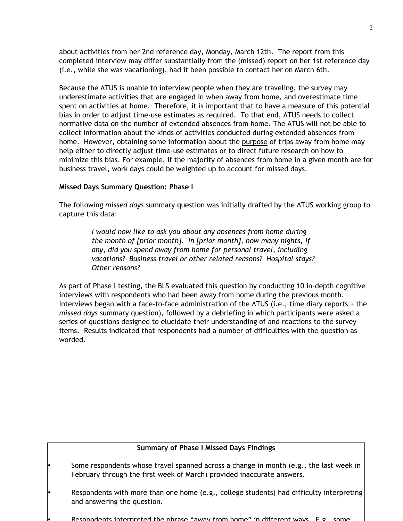about activities from her 2nd reference day, Monday, March 12th. The report from this completed interview may differ substantially from the (missed) report on her 1st reference day (i.e., while she was vacationing), had it been possible to contact her on March 6th.

Because the ATUS is unable to interview people when they are traveling, the survey may underestimate activities that are engaged in when away from home, and overestimate time spent on activities at home. Therefore, it is important that to have a measure of this potential bias in order to adjust time-use estimates as required. To that end, ATUS needs to collect normative data on the number of extended absences from home. The ATUS will not be able to collect information about the kinds of activities conducted during extended absences from home. However, obtaining some information about the purpose of trips away from home may help either to directly adjust time-use estimates or to direct future research on how to minimize this bias. For example, if the majority of absences from home in a given month are for business travel, work days could be weighted up to account for missed days.

# **Missed Days Summary Question: Phase I**

The following *missed days* summary question was initially drafted by the ATUS working group to capture this data:

> *I would now like to ask you about any absences from home during the month of [prior month]. In [prior month], how many nights, if any, did you spend away from home for personal travel, including vacations? Business travel or other related reasons? Hospital stays? Other reasons?*

As part of Phase I testing, the BLS evaluated this question by conducting 10 in-depth cognitive interviews with respondents who had been away from home during the previous month. Interviews began with a face-to-face administration of the ATUS (i.e., time diary reports + the *missed days* summary question), followed by a debriefing in which participants were asked a series of questions designed to elucidate their understanding of and reactions to the survey items. Results indicated that respondents had a number of difficulties with the question as worded.

# **Summary of Phase I Missed Days Findings**

- Some respondents whose travel spanned across a change in month (e.g., the last week in February through the first week of March) provided inaccurate answers.
- Respondents with more than one home (e.g., college students) had difficulty interpreting and answering the question.
- Respondents interpreted the phrase "away from home" in different ways E g some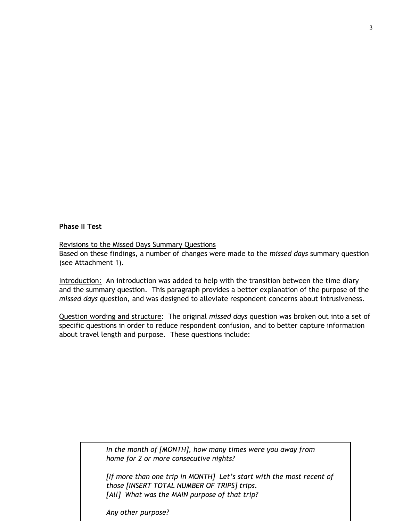# **Phase II Test**

#### Revisions to the Missed Days Summary Questions

Based on these findings, a number of changes were made to the *missed days* summary question (see Attachment 1).

Introduction: An introduction was added to help with the transition between the time diary and the summary question. This paragraph provides a better explanation of the purpose of the *missed days* question, and was designed to alleviate respondent concerns about intrusiveness.

Question wording and structure: The original *missed days* question was broken out into a set of specific questions in order to reduce respondent confusion, and to better capture information about travel length and purpose. These questions include:

> *In the month of [MONTH], how many times were you away from home for 2 or more consecutive nights?*

*[If more than one trip in MONTH] Let's start with the most recent of those [INSERT TOTAL NUMBER OF TRIPS] trips. [All] What was the MAIN purpose of that trip?* 

*Any other purpose?*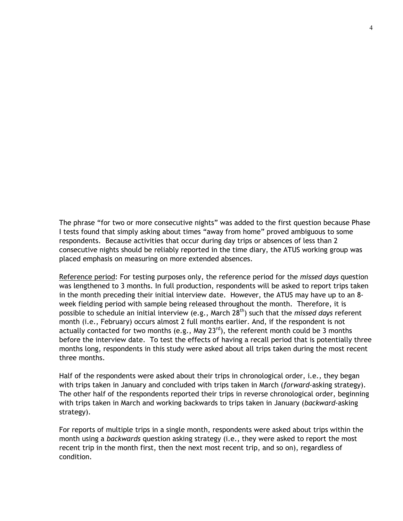The phrase "for two or more consecutive nights" was added to the first question because Phase I tests found that simply asking about times "away from home" proved ambiguous to some respondents. Because activities that occur during day trips or absences of less than 2 consecutive nights should be reliably reported in the time diary, the ATUS working group was placed emphasis on measuring on more extended absences.

Reference period: For testing purposes only, the reference period for the *missed days* question was lengthened to 3 months. In full production, respondents will be asked to report trips taken in the month preceding their initial interview date. However, the ATUS may have up to an 8 week fielding period with sample being released throughout the month. Therefore, it is possible to schedule an initial interview (e.g., March 28<sup>th</sup>) such that the *missed days* referent month (i.e., February) occurs almost 2 full months earlier. And, if the respondent is not actually contacted for two months (e.g., May  $23^{rd}$ ), the referent month could be 3 months before the interview date. To test the effects of having a recall period that is potentially three months long, respondents in this study were asked about all trips taken during the most recent three months.

Half of the respondents were asked about their trips in chronological order, i.e., they began with trips taken in January and concluded with trips taken in March (*forward*-asking strategy). The other half of the respondents reported their trips in reverse chronological order, beginning with trips taken in March and working backwards to trips taken in January (*backward*-asking strategy).

For reports of multiple trips in a single month, respondents were asked about trips within the month using a *backwards* question asking strategy (i.e., they were asked to report the most recent trip in the month first, then the next most recent trip, and so on), regardless of condition.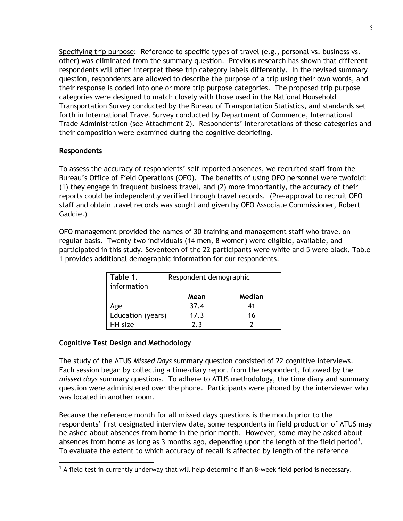Specifying trip purpose: Reference to specific types of travel (e.g., personal vs. business vs. other) was eliminated from the summary question. Previous research has shown that different respondents will often interpret these trip category labels differently. In the revised summary question, respondents are allowed to describe the purpose of a trip using their own words, and their response is coded into one or more trip purpose categories. The proposed trip purpose categories were designed to match closely with those used in the National Household Transportation Survey conducted by the Bureau of Transportation Statistics, and standards set forth in International Travel Survey conducted by Department of Commerce, International Trade Administration (see Attachment 2). Respondents' interpretations of these categories and their composition were examined during the cognitive debriefing.

# **Respondents**

 $\overline{a}$ 

To assess the accuracy of respondents' self-reported absences, we recruited staff from the Bureau's Office of Field Operations (OFO). The benefits of using OFO personnel were twofold: (1) they engage in frequent business travel, and (2) more importantly, the accuracy of their reports could be independently verified through travel records. (Pre-approval to recruit OFO staff and obtain travel records was sought and given by OFO Associate Commissioner, Robert Gaddie.)

OFO management provided the names of 30 training and management staff who travel on regular basis. Twenty-two individuals (14 men, 8 women) were eligible, available, and participated in this study. Seventeen of the 22 participants were white and 5 were black. Table 1 provides additional demographic information for our respondents.

| Table 1.<br>information | Respondent demographic |        |  |  |
|-------------------------|------------------------|--------|--|--|
|                         | Mean                   | Median |  |  |
| Age                     | 37.4                   |        |  |  |
| Education (years)       | 17.3                   | 16     |  |  |
| HH size                 | つっ                     |        |  |  |

# **Cognitive Test Design and Methodology**

The study of the ATUS *Missed Days* summary question consisted of 22 cognitive interviews. Each session began by collecting a time-diary report from the respondent, followed by the *missed days* summary questions. To adhere to ATUS methodology, the time diary and summary question were administered over the phone. Participants were phoned by the interviewer who was located in another room.

Because the reference month for all missed days questions is the month prior to the respondents' first designated interview date, some respondents in field production of ATUS may be asked about absences from home in the prior month. However, some may be asked about absences from home as long as 3 months ago, depending upon the length of the field period<sup>1</sup>. To evaluate the extent to which accuracy of recall is affected by length of the reference

 $1$  A field test in currently underway that will help determine if an 8-week field period is necessary.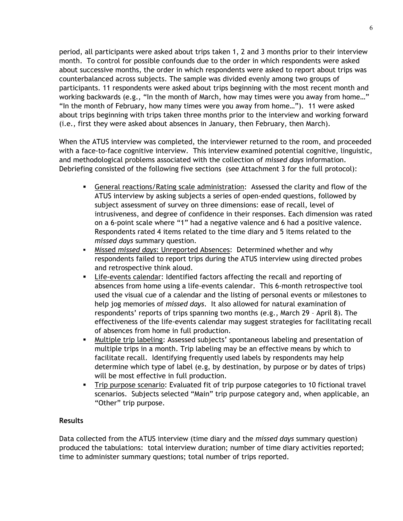period, all participants were asked about trips taken 1, 2 and 3 months prior to their interview month. To control for possible confounds due to the order in which respondents were asked about successive months, the order in which respondents were asked to report about trips was counterbalanced across subjects. The sample was divided evenly among two groups of participants. 11 respondents were asked about trips beginning with the most recent month and working backwards (e.g., "In the month of March, how may times were you away from home…" "In the month of February, how many times were you away from home…"). 11 were asked about trips beginning with trips taken three months prior to the interview and working forward (i.e., first they were asked about absences in January, then February, then March).

When the ATUS interview was completed, the interviewer returned to the room, and proceeded with a face-to-face cognitive interview. This interview examined potential cognitive, linguistic, and methodological problems associated with the collection of *missed days* information. Debriefing consisted of the following five sections (see Attachment 3 for the full protocol):

- General reactions/Rating scale administration: Assessed the clarity and flow of the ATUS interview by asking subjects a series of open-ended questions, followed by subject assessment of survey on three dimensions: ease of recall, level of intrusiveness, and degree of confidence in their responses. Each dimension was rated on a 6-point scale where "1" had a negative valence and 6 had a positive valence. Respondents rated 4 items related to the time diary and 5 items related to the *missed days* summary question.
- Missed *missed days*: Unreported Absences: Determined whether and why respondents failed to report trips during the ATUS interview using directed probes and retrospective think aloud.
- Life-events calendar: Identified factors affecting the recall and reporting of absences from home using a life-events calendar. This 6-month retrospective tool used the visual cue of a calendar and the listing of personal events or milestones to help jog memories of *missed days*. It also allowed for natural examination of respondents' reports of trips spanning two months (e.g., March 29 – April 8). The effectiveness of the life-events calendar may suggest strategies for facilitating recall of absences from home in full production.
- Multiple trip labeling: Assessed subjects' spontaneous labeling and presentation of multiple trips in a month. Trip labeling may be an effective means by which to facilitate recall. Identifying frequently used labels by respondents may help determine which type of label (e.g, by destination, by purpose or by dates of trips) will be most effective in full production.
- Trip purpose scenario: Evaluated fit of trip purpose categories to 10 fictional travel scenarios. Subjects selected "Main" trip purpose category and, when applicable, an "Other" trip purpose.

# **Results**

Data collected from the ATUS interview (time diary and the *missed days* summary question) produced the tabulations: total interview duration; number of time diary activities reported; time to administer summary questions; total number of trips reported.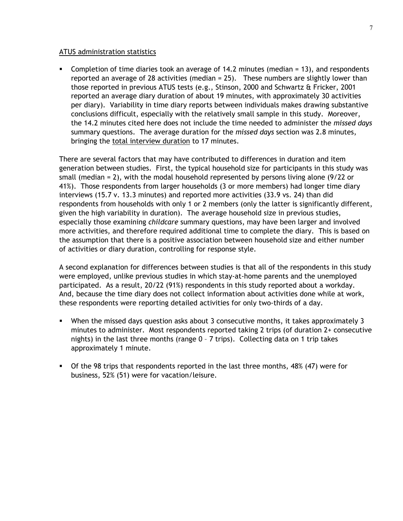#### ATUS administration statistics

 Completion of time diaries took an average of 14.2 minutes (median = 13), and respondents reported an average of 28 activities (median = 25). These numbers are slightly lower than those reported in previous ATUS tests (e.g., Stinson, 2000 and Schwartz & Fricker, 2001 reported an average diary duration of about 19 minutes, with approximately 30 activities per diary). Variability in time diary reports between individuals makes drawing substantive conclusions difficult, especially with the relatively small sample in this study. Moreover, the 14.2 minutes cited here does not include the time needed to administer the *missed days* summary questions. The average duration for the *missed days* section was 2.8 minutes, bringing the total interview duration to 17 minutes.

There are several factors that may have contributed to differences in duration and item generation between studies. First, the typical household size for participants in this study was small (median = 2), with the modal household represented by persons living alone (9/22 or 41%). Those respondents from larger households (3 or more members) had longer time diary interviews (15.7 v. 13.3 minutes) and reported more activities (33.9 vs. 24) than did respondents from households with only 1 or 2 members (only the latter is significantly different, given the high variability in duration). The average household size in previous studies, especially those examining *childcare* summary questions, may have been larger and involved more activities, and therefore required additional time to complete the diary. This is based on the assumption that there is a positive association between household size and either number of activities or diary duration, controlling for response style.

A second explanation for differences between studies is that all of the respondents in this study were employed, unlike previous studies in which stay-at-home parents and the unemployed participated. As a result, 20/22 (91%) respondents in this study reported about a workday. And, because the time diary does not collect information about activities done while at work, these respondents were reporting detailed activities for only two-thirds of a day.

- When the missed days question asks about 3 consecutive months, it takes approximately 3 minutes to administer. Most respondents reported taking 2 trips (of duration 2+ consecutive nights) in the last three months (range 0 – 7 trips). Collecting data on 1 trip takes approximately 1 minute.
- Of the 98 trips that respondents reported in the last three months, 48% (47) were for business, 52% (51) were for vacation/leisure.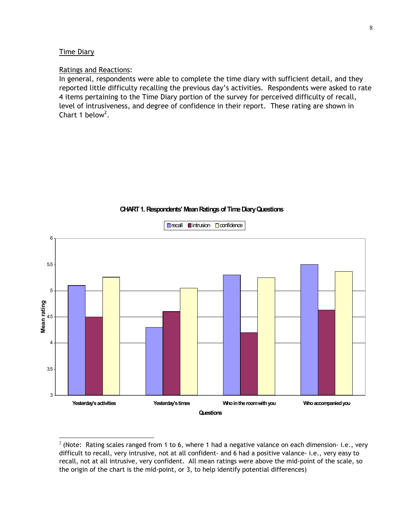#### Time Diary

 $\overline{a}$ 

#### Ratings and Reactions:

In general, respondents were able to complete the time diary with sufficient detail, and they reported little difficulty recalling the previous day's activities. Respondents were asked to rate 4 items pertaining to the Time Diary portion of the survey for perceived difficulty of recall, level of intrusiveness, and degree of confidence in their report. These rating are shown in Chart 1 below<sup>2</sup>.



#### **CHART 1. Respondents' Mean Ratings of Time Diary Questions**

 $2$  (Note: Rating scales ranged from 1 to 6, where 1 had a negative valance on each dimension- i.e., very difficult to recall, very intrusive, not at all confident- and 6 had a positive valance- i.e., very easy to recall, not at all intrusive, very confident. All mean ratings were above the mid-point of the scale, so the origin of the chart is the mid-point, or 3, to help identify potential differences)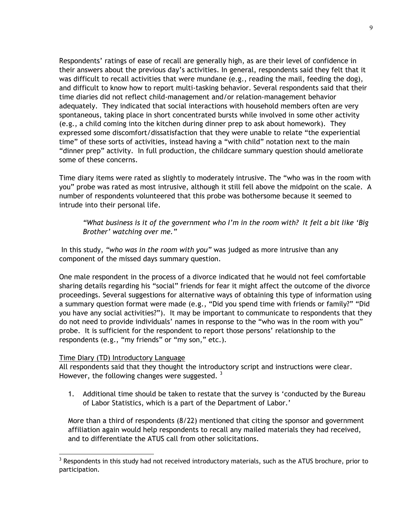Respondents' ratings of ease of recall are generally high, as are their level of confidence in their answers about the previous day's activities. In general, respondents said they felt that it was difficult to recall activities that were mundane (e.g., reading the mail, feeding the dog), and difficult to know how to report multi-tasking behavior. Several respondents said that their time diaries did not reflect child-management and/or relation-management behavior adequately. They indicated that social interactions with household members often are very spontaneous, taking place in short concentrated bursts while involved in some other activity (e.g., a child coming into the kitchen during dinner prep to ask about homework). They expressed some discomfort/dissatisfaction that they were unable to relate "the experiential time" of these sorts of activities, instead having a "with child" notation next to the main "dinner prep" activity. In full production, the childcare summary question should ameliorate some of these concerns.

Time diary items were rated as slightly to moderately intrusive. The "who was in the room with you" probe was rated as most intrusive, although it still fell above the midpoint on the scale. A number of respondents volunteered that this probe was bothersome because it seemed to intrude into their personal life.

*"What business is it of the government who I'm in the room with? It felt a bit like 'Big Brother' watching over me."* 

 In this study, *"who was in the room with you"* was judged as more intrusive than any component of the missed days summary question.

One male respondent in the process of a divorce indicated that he would not feel comfortable sharing details regarding his "social" friends for fear it might affect the outcome of the divorce proceedings. Several suggestions for alternative ways of obtaining this type of information using a summary question format were made (e.g., "Did you spend time with friends or family?" "Did you have any social activities?"). It may be important to communicate to respondents that they do not need to provide individuals' names in response to the "who was in the room with you" probe. It is sufficient for the respondent to report those persons' relationship to the respondents (e.g., "my friends" or "my son," etc.).

# Time Diary (TD) Introductory Language

 $\overline{a}$ 

All respondents said that they thought the introductory script and instructions were clear. However, the following changes were suggested.  $3$ 

1. Additional time should be taken to restate that the survey is 'conducted by the Bureau of Labor Statistics, which is a part of the Department of Labor.'

More than a third of respondents (8/22) mentioned that citing the sponsor and government affiliation again would help respondents to recall any mailed materials they had received, and to differentiate the ATUS call from other solicitations.

 $3$  Respondents in this study had not received introductory materials, such as the ATUS brochure, prior to participation.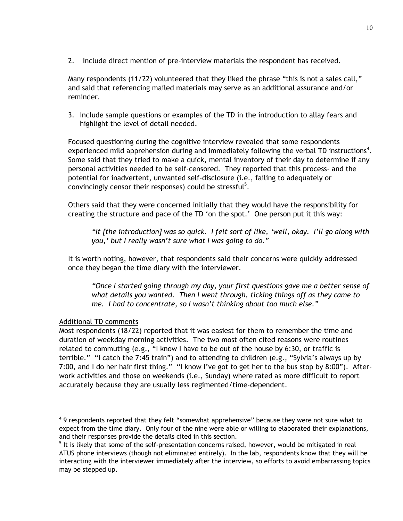2. Include direct mention of pre-interview materials the respondent has received.

Many respondents (11/22) volunteered that they liked the phrase "this is not a sales call," and said that referencing mailed materials may serve as an additional assurance and/or reminder.

3. Include sample questions or examples of the TD in the introduction to allay fears and highlight the level of detail needed.

Focused questioning during the cognitive interview revealed that some respondents experienced mild apprehension during and immediately following the verbal TD instructions<sup>4</sup>. Some said that they tried to make a quick, mental inventory of their day to determine if any personal activities needed to be self-censored. They reported that this process- and the potential for inadvertent, unwanted self-disclosure (i.e., failing to adequately or convincingly censor their responses) could be stressful $5$ .

Others said that they were concerned initially that they would have the responsibility for creating the structure and pace of the TD 'on the spot.' One person put it this way:

*"It [the introduction] was so quick. I felt sort of like, 'well, okay. I'll go along with you,' but I really wasn't sure what I was going to do."* 

It is worth noting, however, that respondents said their concerns were quickly addressed once they began the time diary with the interviewer.

*"Once I started going through my day, your first questions gave me a better sense of what details you wanted. Then I went through, ticking things off as they came to me. I had to concentrate, so I wasn't thinking about too much else."* 

# Additional TD comments

 $\overline{a}$ 

Most respondents (18/22) reported that it was easiest for them to remember the time and duration of weekday morning activities. The two most often cited reasons were routines related to commuting (e.g., "I know I have to be out of the house by 6:30, or traffic is terrible." "I catch the 7:45 train") and to attending to children (e.g., "Sylvia's always up by 7:00, and I do her hair first thing." "I know I've got to get her to the bus stop by 8:00"). Afterwork activities and those on weekends (i.e., Sunday) where rated as more difficult to report accurately because they are usually less regimented/time-dependent.

<sup>&</sup>lt;sup>4</sup> 9 respondents reported that they felt "somewhat apprehensive" because they were not sure what to expect from the time diary. Only four of the nine were able or willing to elaborated their explanations, and their responses provide the details cited in this section.

 $<sup>5</sup>$  It is likely that some of the self-presentation concerns raised, however, would be mitigated in real</sup> ATUS phone interviews (though not eliminated entirely). In the lab, respondents know that they will be interacting with the interviewer immediately after the interview, so efforts to avoid embarrassing topics may be stepped up.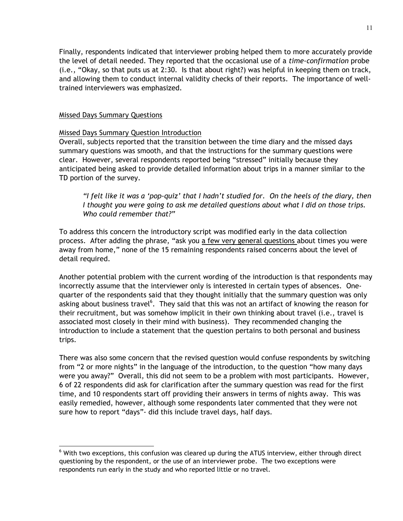Finally, respondents indicated that interviewer probing helped them to more accurately provide the level of detail needed. They reported that the occasional use of a *time-confirmation* probe (i.e., "Okay, so that puts us at 2:30. Is that about right?) was helpful in keeping them on track, and allowing them to conduct internal validity checks of their reports. The importance of welltrained interviewers was emphasized.

# Missed Days Summary Questions

 $\overline{a}$ 

# Missed Days Summary Question Introduction

Overall, subjects reported that the transition between the time diary and the missed days summary questions was smooth, and that the instructions for the summary questions were clear. However, several respondents reported being "stressed" initially because they anticipated being asked to provide detailed information about trips in a manner similar to the TD portion of the survey.

*"I felt like it was a 'pop-quiz' that I hadn't studied for. On the heels of the diary, then I thought you were going to ask me detailed questions about what I did on those trips. Who could remember that?"* 

To address this concern the introductory script was modified early in the data collection process. After adding the phrase, "ask you a few very general questions about times you were away from home," none of the 15 remaining respondents raised concerns about the level of detail required.

Another potential problem with the current wording of the introduction is that respondents may incorrectly assume that the interviewer only is interested in certain types of absences. Onequarter of the respondents said that they thought initially that the summary question was only asking about business travel<sup>6</sup>. They said that this was not an artifact of knowing the reason for their recruitment, but was somehow implicit in their own thinking about travel (i.e., travel is associated most closely in their mind with business). They recommended changing the introduction to include a statement that the question pertains to both personal and business trips.

There was also some concern that the revised question would confuse respondents by switching from "2 or more nights" in the language of the introduction, to the question "how many days were you away?" Overall, this did not seem to be a problem with most participants. However, 6 of 22 respondents did ask for clarification after the summary question was read for the first time, and 10 respondents start off providing their answers in terms of nights away. This was easily remedied, however, although some respondents later commented that they were not sure how to report "days"- did this include travel days, half days.

 $<sup>6</sup>$  With two exceptions, this confusion was cleared up during the ATUS interview, either through direct</sup> questioning by the respondent, or the use of an interviewer probe. The two exceptions were respondents run early in the study and who reported little or no travel.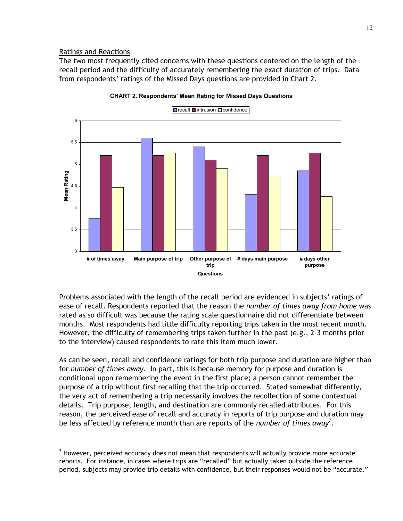# Ratings and Reactions

 $\overline{a}$ 

The two most frequently cited concerns with these questions centered on the length of the recall period and the difficulty of accurately remembering the exact duration of trips. Data from respondents' ratings of the Missed Days questions are provided in Chart 2.



**CHART 2. Respondents' Mean Rating for Missed Days Questions**

Problems associated with the length of the recall period are evidenced in subjects' ratings of ease of recall. Respondents reported that the reason the *number of times away from home* was rated as so difficult was because the rating scale questionnaire did not differentiate between months. Most respondents had little difficulty reporting trips taken in the most recent month. However, the difficulty of remembering trips taken further in the past (e.g., 2-3 months prior to the interview) caused respondents to rate this item much lower.

As can be seen, recall and confidence ratings for both trip purpose and duration are higher than for *number of times away*. In part, this is because memory for purpose and duration is conditional upon remembering the event in the first place; a person cannot remember the purpose of a trip without first recalling that the trip occurred. Stated somewhat differently, the very act of remembering a trip necessarily involves the recollection of some contextual details. Trip purpose, length, and destination are commonly recalled attributes. For this reason, the perceived ease of recall and accuracy in reports of trip purpose and duration may be less affected by reference month than are reports of the *number of times away<sup>7</sup> .*

 $^7$  However, perceived accuracy does not mean that respondents will actually provide more accurate reports. For instance, in cases where trips are "recalled" but actually taken outside the reference period, subjects may provide trip details with confidence, but their responses would not be "accurate."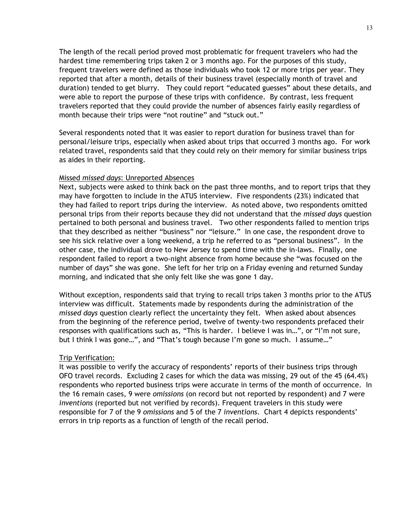The length of the recall period proved most problematic for frequent travelers who had the hardest time remembering trips taken 2 or 3 months ago. For the purposes of this study, frequent travelers were defined as those individuals who took 12 or more trips per year. They reported that after a month, details of their business travel (especially month of travel and duration) tended to get blurry. They could report "educated guesses" about these details, and were able to report the purpose of these trips with confidence. By contrast, less frequent travelers reported that they could provide the number of absences fairly easily regardless of month because their trips were "not routine" and "stuck out."

Several respondents noted that it was easier to report duration for business travel than for personal/leisure trips, especially when asked about trips that occurred 3 months ago. For work related travel, respondents said that they could rely on their memory for similar business trips as aides in their reporting.

#### Missed *missed days*: Unreported Absences

Next, subjects were asked to think back on the past three months, and to report trips that they may have forgotten to include in the ATUS interview. Five respondents (23%) indicated that they had failed to report trips during the interview. As noted above, two respondents omitted personal trips from their reports because they did not understand that the *missed days* question pertained to both personal and business travel. Two other respondents failed to mention trips that they described as neither "business" nor "leisure." In one case, the respondent drove to see his sick relative over a long weekend, a trip he referred to as "personal business". In the other case, the individual drove to New Jersey to spend time with the in-laws. Finally, one respondent failed to report a two-night absence from home because she "was focused on the number of days" she was gone. She left for her trip on a Friday evening and returned Sunday morning, and indicated that she only felt like she was gone 1 day.

Without exception, respondents said that trying to recall trips taken 3 months prior to the ATUS interview was difficult. Statements made by respondents during the administration of the *missed days* question clearly reflect the uncertainty they felt. When asked about absences from the beginning of the reference period, twelve of twenty-two respondents prefaced their responses with qualifications such as, "This is harder. I believe I was in…", or "I'm not sure, but I think I was gone...", and "That's tough because I'm gone so much. I assume..."

#### Trip Verification:

It was possible to verify the accuracy of respondents' reports of their business trips through OFO travel records. Excluding 2 cases for which the data was missing, 29 out of the 45 (64.4%) respondents who reported business trips were accurate in terms of the month of occurrence. In the 16 remain cases, 9 were *omissions* (on record but not reported by respondent) and 7 were *inventions* (reported but not verified by records). Frequent travelers in this study were responsible for 7 of the 9 *omissions* and 5 of the 7 *inventions*. Chart 4 depicts respondents' errors in trip reports as a function of length of the recall period.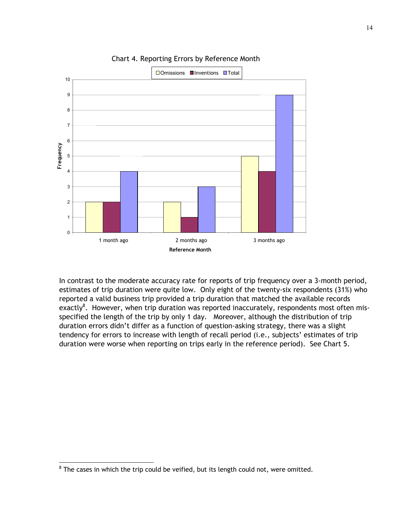

Chart 4. Reporting Errors by Reference Month

In contrast to the moderate accuracy rate for reports of trip frequency over a 3-month period, estimates of trip duration were quite low. Only eight of the twenty-six respondents (31%) who reported a valid business trip provided a trip duration that matched the available records exactly $^8$ . However, when trip duration was reported inaccurately, respondents most often misspecified the length of the trip by only 1 day. Moreover, although the distribution of trip duration errors didn't differ as a function of question-asking strategy, there was a slight tendency for errors to increase with length of recall period (i.e., subjects' estimates of trip duration were worse when reporting on trips early in the reference period). See Chart 5.

 $\overline{a}$ 

 $8$  The cases in which the trip could be veified, but its length could not, were omitted.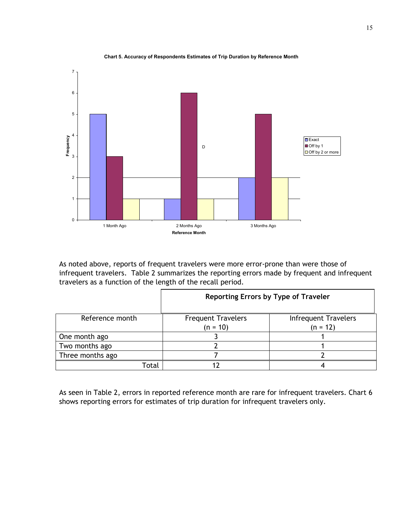

**Chart 5. Accuracy of Respondents Estimates of Trip Duration by Reference Month**

As noted above, reports of frequent travelers were more error-prone than were those of infrequent travelers. Table 2 summarizes the reporting errors made by frequent and infrequent travelers as a function of the length of the recall period.

|                  | Reporting Errors by Type of Traveler    |                                           |  |  |
|------------------|-----------------------------------------|-------------------------------------------|--|--|
| Reference month  | <b>Frequent Travelers</b><br>$(n = 10)$ | <b>Infrequent Travelers</b><br>$(n = 12)$ |  |  |
| One month ago    |                                         |                                           |  |  |
| Two months ago   |                                         |                                           |  |  |
| Three months ago |                                         |                                           |  |  |
| Гоtal            |                                         |                                           |  |  |

As seen in Table 2, errors in reported reference month are rare for infrequent travelers. Chart 6 shows reporting errors for estimates of trip duration for infrequent travelers only.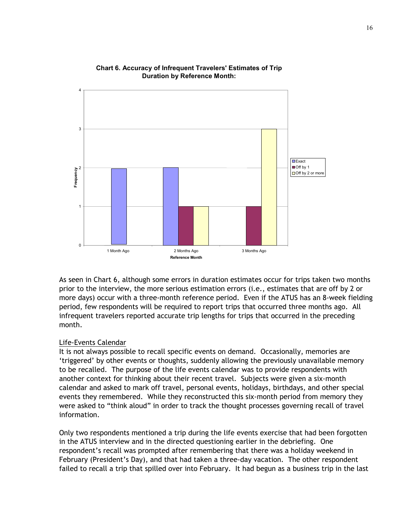

#### **Chart 6. Accuracy of Infrequent Travelers' Estimates of Trip Duration by Reference Month:**

As seen in Chart 6, although some errors in duration estimates occur for trips taken two months prior to the interview, the more serious estimation errors (i.e., estimates that are off by 2 or more days) occur with a three-month reference period. Even if the ATUS has an 8-week fielding period, few respondents will be required to report trips that occurred three months ago. All infrequent travelers reported accurate trip lengths for trips that occurred in the preceding month.

#### Life-Events Calendar

It is not always possible to recall specific events on demand. Occasionally, memories are 'triggered' by other events or thoughts, suddenly allowing the previously unavailable memory to be recalled. The purpose of the life events calendar was to provide respondents with another context for thinking about their recent travel. Subjects were given a six-month calendar and asked to mark off travel, personal events, holidays, birthdays, and other special events they remembered. While they reconstructed this six-month period from memory they were asked to "think aloud" in order to track the thought processes governing recall of travel information.

Only two respondents mentioned a trip during the life events exercise that had been forgotten in the ATUS interview and in the directed questioning earlier in the debriefing. One respondent's recall was prompted after remembering that there was a holiday weekend in February (President's Day), and that had taken a three-day vacation. The other respondent failed to recall a trip that spilled over into February. It had begun as a business trip in the last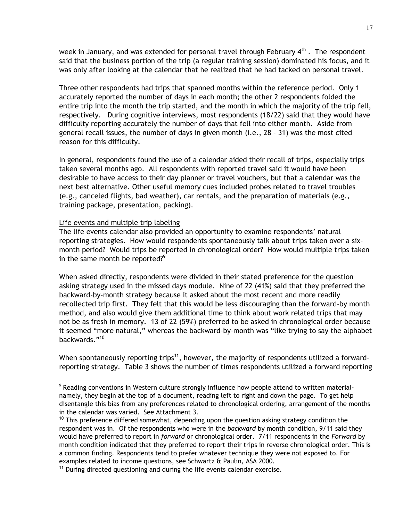week in January, and was extended for personal travel through February  $4^{\text{th}}$ . The respondent said that the business portion of the trip (a regular training session) dominated his focus, and it was only after looking at the calendar that he realized that he had tacked on personal travel.

Three other respondents had trips that spanned months within the reference period. Only 1 accurately reported the number of days in each month; the other 2 respondents folded the entire trip into the month the trip started, and the month in which the majority of the trip fell, respectively. During cognitive interviews, most respondents (18/22) said that they would have difficulty reporting accurately the number of days that fell into either month. Aside from general recall issues, the number of days in given month (i.e., 28 – 31) was the most cited reason for this difficulty.

In general, respondents found the use of a calendar aided their recall of trips, especially trips taken several months ago. All respondents with reported travel said it would have been desirable to have access to their day planner or travel vouchers, but that a calendar was the next best alternative. Other useful memory cues included probes related to travel troubles (e.g., canceled flights, bad weather), car rentals, and the preparation of materials (e.g., training package, presentation, packing).

#### Life events and multiple trip labeling

 $\overline{a}$ 

The life events calendar also provided an opportunity to examine respondents' natural reporting strategies. How would respondents spontaneously talk about trips taken over a sixmonth period? Would trips be reported in chronological order? How would multiple trips taken in the same month be reported?<sup>9</sup>

When asked directly, respondents were divided in their stated preference for the question asking strategy used in the missed days module. Nine of 22 (41%) said that they preferred the backward-by-month strategy because it asked about the most recent and more readily recollected trip first. They felt that this would be less discouraging than the forward-by month method, and also would give them additional time to think about work related trips that may not be as fresh in memory. 13 of 22 (59%) preferred to be asked in chronological order because it seemed "more natural," whereas the backward-by-month was "like trying to say the alphabet backwards."<sup>10</sup>

When spontaneously reporting trips<sup>11</sup>, however, the majority of respondents utilized a forwardreporting strategy. Table 3 shows the number of times respondents utilized a forward reporting

 $9$  Reading conventions in Western culture strongly influence how people attend to written materialnamely, they begin at the top of a document, reading left to right and down the page. To get help disentangle this bias from any preferences related to chronological ordering, arrangement of the months in the calendar was varied. See Attachment 3.

 $10$  This preference differed somewhat, depending upon the question asking strategy condition the respondent was in. Of the respondents who were in the *backward* by month condition, 9/11 said they would have preferred to report in *forward* or chronological order. 7/11 respondents in the *Forward* by month condition indicated that they preferred to report their trips in reverse chronological order. This is a common finding. Respondents tend to prefer whatever technique they were not exposed to. For examples related to income questions, see Schwartz & Paulin, ASA 2000.

 $11$  During directed questioning and during the life events calendar exercise.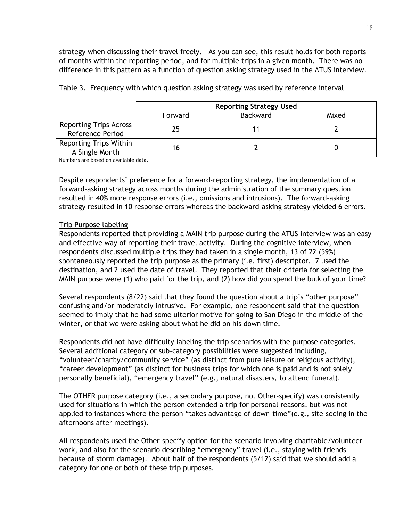strategy when discussing their travel freely. As you can see, this result holds for both reports of months within the reporting period, and for multiple trips in a given month. There was no difference in this pattern as a function of question asking strategy used in the ATUS interview.

|                                                   | <b>Reporting Strategy Used</b> |  |  |  |  |
|---------------------------------------------------|--------------------------------|--|--|--|--|
|                                                   | <b>Backward</b><br>Forward     |  |  |  |  |
| <b>Reporting Trips Across</b><br>Reference Period | 25                             |  |  |  |  |
| <b>Reporting Trips Within</b><br>A Single Month   | 16                             |  |  |  |  |

Table 3. Frequency with which question asking strategy was used by reference interval

Numbers are based on available data.

Despite respondents' preference for a forward-reporting strategy, the implementation of a forward-asking strategy across months during the administration of the summary question resulted in 40% more response errors (i.e., omissions and intrusions). The forward-asking strategy resulted in 10 response errors whereas the backward-asking strategy yielded 6 errors.

# Trip Purpose labeling

Respondents reported that providing a MAIN trip purpose during the ATUS interview was an easy and effective way of reporting their travel activity. During the cognitive interview, when respondents discussed multiple trips they had taken in a single month, 13 of 22 (59%) spontaneously reported the trip purpose as the primary (i.e. first) descriptor. 7 used the destination, and 2 used the date of travel. They reported that their criteria for selecting the MAIN purpose were (1) who paid for the trip, and (2) how did you spend the bulk of your time?

Several respondents (8/22) said that they found the question about a trip's "other purpose" confusing and/or moderately intrusive. For example, one respondent said that the question seemed to imply that he had some ulterior motive for going to San Diego in the middle of the winter, or that we were asking about what he did on his down time.

Respondents did not have difficulty labeling the trip scenarios with the purpose categories. Several additional category or sub-category possibilities were suggested including, "volunteer/charity/community service" (as distinct from pure leisure or religious activity), "career development" (as distinct for business trips for which one is paid and is not solely personally beneficial), "emergency travel" (e.g., natural disasters, to attend funeral).

The OTHER purpose category (i.e., a secondary purpose, not Other-specify) was consistently used for situations in which the person extended a trip for personal reasons, but was not applied to instances where the person "takes advantage of down-time"(e.g., site-seeing in the afternoons after meetings).

All respondents used the Other-specify option for the scenario involving charitable/volunteer work, and also for the scenario describing "emergency" travel (i.e., staying with friends because of storm damage). About half of the respondents (5/12) said that we should add a category for one or both of these trip purposes.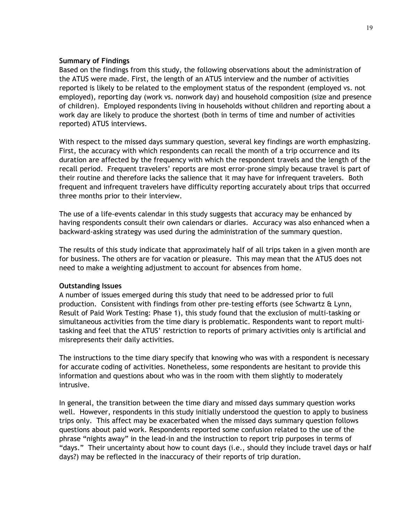### **Summary of Findings**

Based on the findings from this study, the following observations about the administration of the ATUS were made. First, the length of an ATUS interview and the number of activities reported is likely to be related to the employment status of the respondent (employed vs. not employed), reporting day (work vs. nonwork day) and household composition (size and presence of children). Employed respondents living in households without children and reporting about a work day are likely to produce the shortest (both in terms of time and number of activities reported) ATUS interviews.

With respect to the missed days summary question, several key findings are worth emphasizing. First, the accuracy with which respondents can recall the month of a trip occurrence and its duration are affected by the frequency with which the respondent travels and the length of the recall period. Frequent travelers' reports are most error-prone simply because travel is part of their routine and therefore lacks the salience that it may have for infrequent travelers. Both frequent and infrequent travelers have difficulty reporting accurately about trips that occurred three months prior to their interview.

The use of a life-events calendar in this study suggests that accuracy may be enhanced by having respondents consult their own calendars or diaries. Accuracy was also enhanced when a backward-asking strategy was used during the administration of the summary question.

The results of this study indicate that approximately half of all trips taken in a given month are for business. The others are for vacation or pleasure. This may mean that the ATUS does not need to make a weighting adjustment to account for absences from home.

#### **Outstanding Issues**

A number of issues emerged during this study that need to be addressed prior to full production. Consistent with findings from other pre-testing efforts (see Schwartz & Lynn, Result of Paid Work Testing: Phase 1), this study found that the exclusion of multi-tasking or simultaneous activities from the time diary is problematic. Respondents want to report multitasking and feel that the ATUS' restriction to reports of primary activities only is artificial and misrepresents their daily activities.

The instructions to the time diary specify that knowing who was with a respondent is necessary for accurate coding of activities. Nonetheless, some respondents are hesitant to provide this information and questions about who was in the room with them slightly to moderately intrusive.

In general, the transition between the time diary and missed days summary question works well. However, respondents in this study initially understood the question to apply to business trips only. This affect may be exacerbated when the missed days summary question follows questions about paid work. Respondents reported some confusion related to the use of the phrase "nights away" in the lead-in and the instruction to report trip purposes in terms of "days." Their uncertainty about how to count days (i.e., should they include travel days or half days?) may be reflected in the inaccuracy of their reports of trip duration.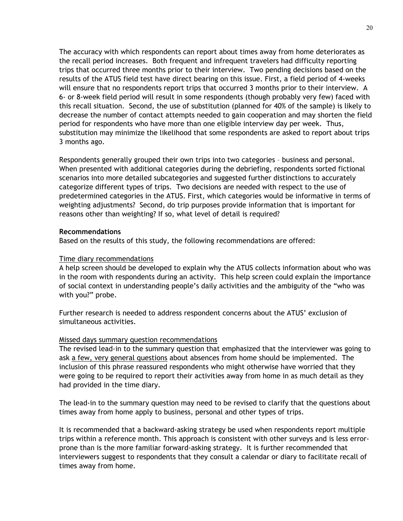The accuracy with which respondents can report about times away from home deteriorates as the recall period increases. Both frequent and infrequent travelers had difficulty reporting trips that occurred three months prior to their interview. Two pending decisions based on the results of the ATUS field test have direct bearing on this issue. First, a field period of 4-weeks will ensure that no respondents report trips that occurred 3 months prior to their interview. A 6- or 8-week field period will result in some respondents (though probably very few) faced with this recall situation. Second, the use of substitution (planned for 40% of the sample) is likely to decrease the number of contact attempts needed to gain cooperation and may shorten the field period for respondents who have more than one eligible interview day per week. Thus, substitution may minimize the likelihood that some respondents are asked to report about trips 3 months ago.

Respondents generally grouped their own trips into two categories – business and personal. When presented with additional categories during the debriefing, respondents sorted fictional scenarios into more detailed subcategories and suggested further distinctions to accurately categorize different types of trips. Two decisions are needed with respect to the use of predetermined categories in the ATUS. First, which categories would be informative in terms of weighting adjustments? Second, do trip purposes provide information that is important for reasons other than weighting? If so, what level of detail is required?

#### **Recommendations**

Based on the results of this study, the following recommendations are offered:

#### Time diary recommendations

A help screen should be developed to explain why the ATUS collects information about who was in the room with respondents during an activity. This help screen could explain the importance of social context in understanding people's daily activities and the ambiguity of the "who was with you?" probe.

Further research is needed to address respondent concerns about the ATUS' exclusion of simultaneous activities.

#### Missed days summary question recommendations

The revised lead-in to the summary question that emphasized that the interviewer was going to ask a few, very general questions about absences from home should be implemented. The inclusion of this phrase reassured respondents who might otherwise have worried that they were going to be required to report their activities away from home in as much detail as they had provided in the time diary.

The lead-in to the summary question may need to be revised to clarify that the questions about times away from home apply to business, personal and other types of trips.

It is recommended that a backward-asking strategy be used when respondents report multiple trips within a reference month. This approach is consistent with other surveys and is less errorprone than is the more familiar forward-asking strategy. It is further recommended that interviewers suggest to respondents that they consult a calendar or diary to facilitate recall of times away from home.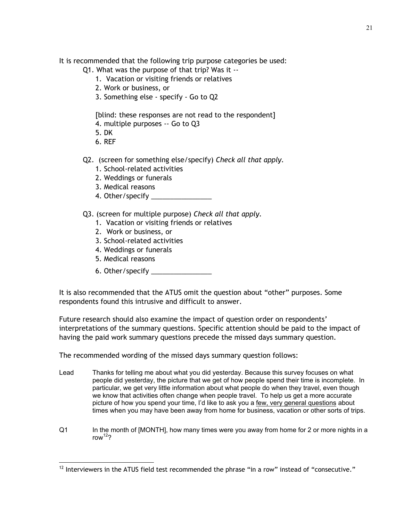It is recommended that the following trip purpose categories be used:

- Q1. What was the purpose of that trip? Was it --
	- 1. Vacation or visiting friends or relatives
	- 2. Work or business, or
	- 3. Something else specify Go to Q2

[blind: these responses are not read to the respondent]

- 4. multiple purposes -- Go to Q3
- 5. DK
- 6. REF
- Q2. (screen for something else/specify) *Check all that apply.* 
	- 1. School-related activities
	- 2. Weddings or funerals
	- 3. Medical reasons
	- 4. Other/specify
- Q3. (screen for multiple purpose) *Check all that apply.* 
	- 1. Vacation or visiting friends or relatives
	- 2. Work or business, or
	- 3. School-related activities
	- 4. Weddings or funerals
	- 5. Medical reasons

 $\overline{a}$ 

6. Other/specify \_\_\_\_\_\_\_\_\_\_\_\_\_\_\_\_

It is also recommended that the ATUS omit the question about "other" purposes. Some respondents found this intrusive and difficult to answer.

Future research should also examine the impact of question order on respondents' interpretations of the summary questions. Specific attention should be paid to the impact of having the paid work summary questions precede the missed days summary question.

The recommended wording of the missed days summary question follows:

- Lead Thanks for telling me about what you did yesterday. Because this survey focuses on what people did yesterday, the picture that we get of how people spend their time is incomplete. In particular, we get very little information about what people do when they travel, even though we know that activities often change when people travel. To help us get a more accurate picture of how you spend your time, I'd like to ask you a few, very general questions about times when you may have been away from home for business, vacation or other sorts of trips.
- Q1 In the month of [MONTH], how many times were you away from home for 2 or more nights in a row $12$ ?

 $12$  Interviewers in the ATUS field test recommended the phrase "in a row" instead of "consecutive."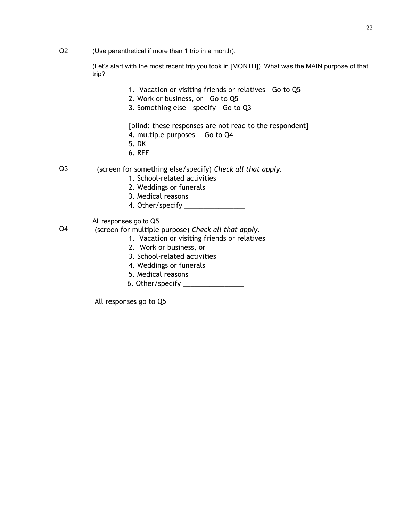Q2 (Use parenthetical if more than 1 trip in a month).

(Let's start with the most recent trip you took in [MONTH]). What was the MAIN purpose of that trip?

- 1. Vacation or visiting friends or relatives Go to Q5
- 2. Work or business, or Go to Q5
- 3. Something else specify Go to Q3

[blind: these responses are not read to the respondent]

- 4. multiple purposes -- Go to Q4
- 5. DK
- 6. REF
- Q3 (screen for something else/specify) *Check all that apply.* 
	- 1. School-related activities
	- 2. Weddings or funerals
	- 3. Medical reasons
	- 4. Other/specify \_\_\_\_\_\_\_\_\_\_\_\_\_\_\_\_
	- All responses go to Q5
- Q4 (screen for multiple purpose) *Check all that apply.* 
	- 1. Vacation or visiting friends or relatives
	- 2. Work or business, or
	- 3. School-related activities
	- 4. Weddings or funerals
	- 5. Medical reasons
	- 6. Other/specify \_\_\_\_\_\_\_\_\_\_\_\_\_\_\_\_

All responses go to Q5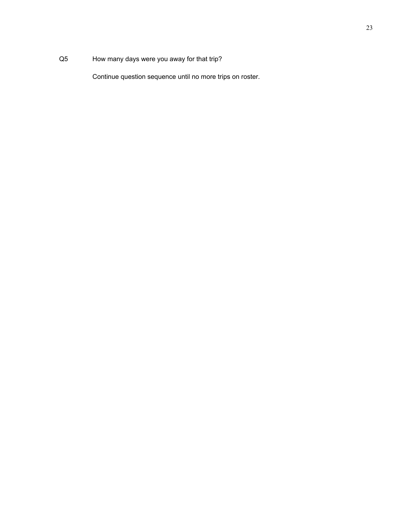# Q5 How many days were you away for that trip?

Continue question sequence until no more trips on roster.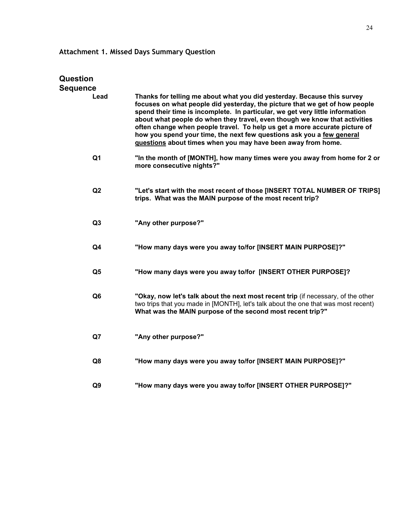# **Attachment 1. Missed Days Summary Question**

| Question       |                                                                                                                                                                                                                                                                                                                                                                                                                                                                                                                                              |
|----------------|----------------------------------------------------------------------------------------------------------------------------------------------------------------------------------------------------------------------------------------------------------------------------------------------------------------------------------------------------------------------------------------------------------------------------------------------------------------------------------------------------------------------------------------------|
| Sequence       |                                                                                                                                                                                                                                                                                                                                                                                                                                                                                                                                              |
| Lead           | Thanks for telling me about what you did yesterday. Because this survey<br>focuses on what people did yesterday, the picture that we get of how people<br>spend their time is incomplete. In particular, we get very little information<br>about what people do when they travel, even though we know that activities<br>often change when people travel. To help us get a more accurate picture of<br>how you spend your time, the next few questions ask you a few general<br>questions about times when you may have been away from home. |
| Q <sub>1</sub> | "In the month of [MONTH], how many times were you away from home for 2 or<br>more consecutive nights?"                                                                                                                                                                                                                                                                                                                                                                                                                                       |
| Q2             | "Let's start with the most recent of those [INSERT TOTAL NUMBER OF TRIPS]<br>trips. What was the MAIN purpose of the most recent trip?                                                                                                                                                                                                                                                                                                                                                                                                       |
| Q <sub>3</sub> | "Any other purpose?"                                                                                                                                                                                                                                                                                                                                                                                                                                                                                                                         |
| Q4             | "How many days were you away to/for [INSERT MAIN PURPOSE]?"                                                                                                                                                                                                                                                                                                                                                                                                                                                                                  |
| Q <sub>5</sub> | "How many days were you away to/for [INSERT OTHER PURPOSE]?                                                                                                                                                                                                                                                                                                                                                                                                                                                                                  |
| Q <sub>6</sub> | "Okay, now let's talk about the next most recent trip (if necessary, of the other<br>two trips that you made in [MONTH], let's talk about the one that was most recent)<br>What was the MAIN purpose of the second most recent trip?"                                                                                                                                                                                                                                                                                                        |
| Q7             | "Any other purpose?"                                                                                                                                                                                                                                                                                                                                                                                                                                                                                                                         |
| Q8             | "How many days were you away to/for [INSERT MAIN PURPOSE]?"                                                                                                                                                                                                                                                                                                                                                                                                                                                                                  |
| Q <sub>9</sub> | "How many days were you away to/for [INSERT OTHER PURPOSE]?"                                                                                                                                                                                                                                                                                                                                                                                                                                                                                 |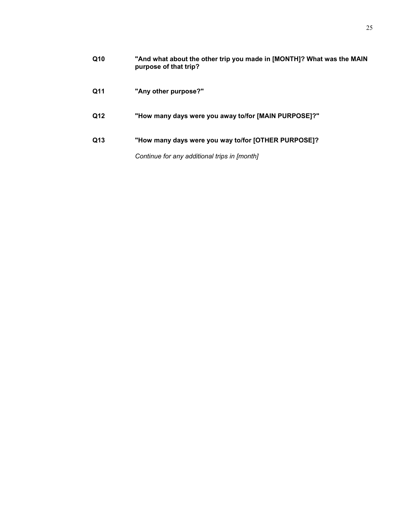| Q10 | "And what about the other trip you made in [MONTH]? What was the MAIN<br>purpose of that trip? |
|-----|------------------------------------------------------------------------------------------------|
| Q11 | "Any other purpose?"                                                                           |
| Q12 | "How many days were you away to/for [MAIN PURPOSE]?"                                           |
| Q13 | "How many days were you way to/for [OTHER PURPOSE]?                                            |
|     | Continue for any additional trips in [month]                                                   |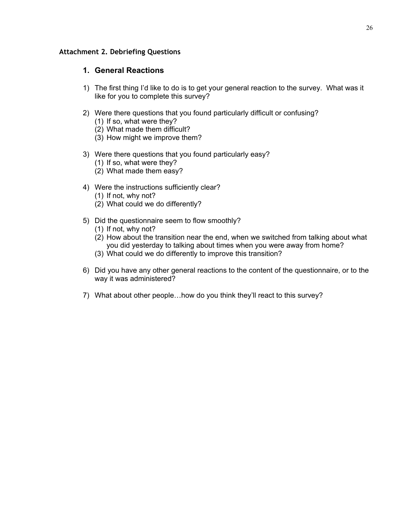# **Attachment 2. Debriefing Questions**

# **1. General Reactions**

- 1) The first thing I'd like to do is to get your general reaction to the survey. What was it like for you to complete this survey?
- 2) Were there questions that you found particularly difficult or confusing?
	- (1) If so, what were they?
	- (2) What made them difficult?
	- (3) How might we improve them?
- 3) Were there questions that you found particularly easy?
	- (1) If so, what were they?
	- (2) What made them easy?
- 4) Were the instructions sufficiently clear?
	- (1) If not, why not?
	- (2) What could we do differently?
- 5) Did the questionnaire seem to flow smoothly?
	- (1) If not, why not?
	- (2) How about the transition near the end, when we switched from talking about what you did yesterday to talking about times when you were away from home?
	- (3) What could we do differently to improve this transition?
- 6) Did you have any other general reactions to the content of the questionnaire, or to the way it was administered?
- 7) What about other people…how do you think they'll react to this survey?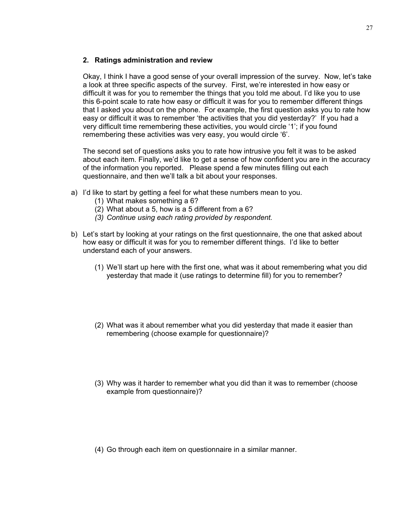# **2. Ratings administration and review**

Okay, I think I have a good sense of your overall impression of the survey. Now, let's take a look at three specific aspects of the survey. First, we're interested in how easy or difficult it was for you to remember the things that you told me about. I'd like you to use this 6-point scale to rate how easy or difficult it was for you to remember different things that I asked you about on the phone. For example, the first question asks you to rate how easy or difficult it was to remember 'the activities that you did yesterday?' If you had a very difficult time remembering these activities, you would circle '1'; if you found remembering these activities was very easy, you would circle '6'.

The second set of questions asks you to rate how intrusive you felt it was to be asked about each item. Finally, we'd like to get a sense of how confident you are in the accuracy of the information you reported. Please spend a few minutes filling out each questionnaire, and then we'll talk a bit about your responses.

- a) I'd like to start by getting a feel for what these numbers mean to you.
	- (1) What makes something a 6?
	- (2) What about a 5, how is a 5 different from a 6?
	- *(3) Continue using each rating provided by respondent.*
- b) Let's start by looking at your ratings on the first questionnaire, the one that asked about how easy or difficult it was for you to remember different things. I'd like to better understand each of your answers.
	- (1) We'll start up here with the first one, what was it about remembering what you did yesterday that made it (use ratings to determine fill) for you to remember?
	- (2) What was it about remember what you did yesterday that made it easier than remembering (choose example for questionnaire)?
	- (3) Why was it harder to remember what you did than it was to remember (choose example from questionnaire)?
	- (4) Go through each item on questionnaire in a similar manner.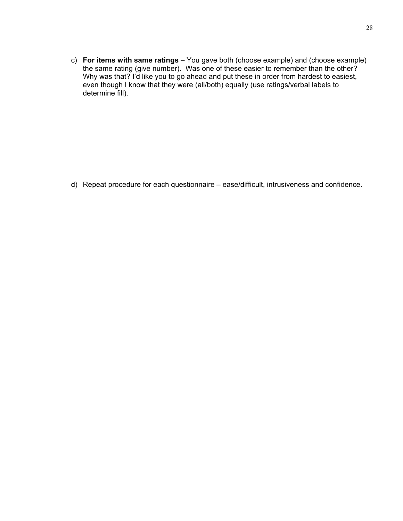c) **For items with same ratings** – You gave both (choose example) and (choose example) the same rating (give number). Was one of these easier to remember than the other? Why was that? I'd like you to go ahead and put these in order from hardest to easiest, even though I know that they were (all/both) equally (use ratings/verbal labels to determine fill).

d) Repeat procedure for each questionnaire – ease/difficult, intrusiveness and confidence.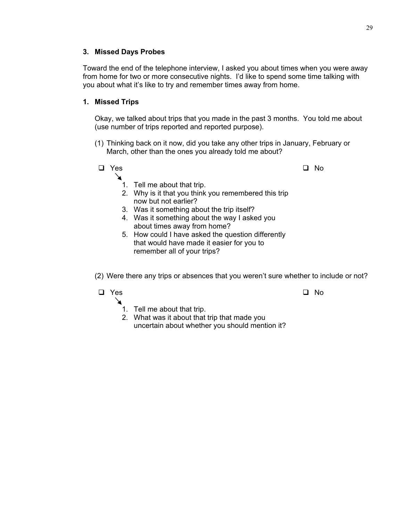# **3. Missed Days Probes**

Toward the end of the telephone interview, I asked you about times when you were away from home for two or more consecutive nights. I'd like to spend some time talking with you about what it's like to try and remember times away from home.

# **1. Missed Trips**

Okay, we talked about trips that you made in the past 3 months. You told me about (use number of trips reported and reported purpose).

(1) Thinking back on it now, did you take any other trips in January, February or March, other than the ones you already told me about?



(2) Were there any trips or absences that you weren't sure whether to include or not?

# $\Box$  Yes  $\Box$  No

↘

- 1. Tell me about that trip.
- 2. What was it about that trip that made you uncertain about whether you should mention it?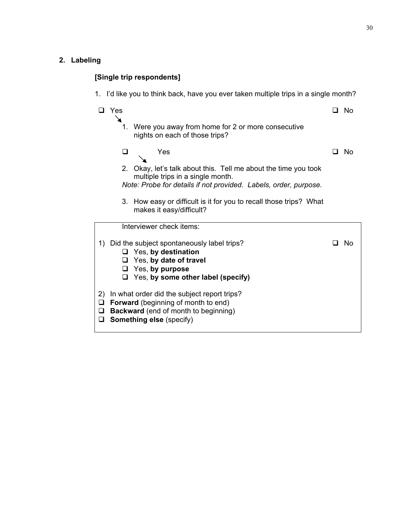# **2. Labeling**

# **[Single trip respondents]**

1. I'd like you to think back, have you ever taken multiple trips in a single month?

|                        | Yes    |                                                                                                                                                                             |     | - No |
|------------------------|--------|-----------------------------------------------------------------------------------------------------------------------------------------------------------------------------|-----|------|
|                        | 1.     | Were you away from home for 2 or more consecutive<br>nights on each of those trips?                                                                                         |     |      |
|                        | □      | Yes                                                                                                                                                                         | l 1 | - No |
|                        |        | 2. Okay, let's talk about this. Tell me about the time you took<br>multiple trips in a single month.                                                                        |     |      |
|                        |        | Note: Probe for details if not provided. Labels, order, purpose.                                                                                                            |     |      |
|                        | 3.     | How easy or difficult is it for you to recall those trips? What<br>makes it easy/difficult?                                                                                 |     |      |
|                        |        | Interviewer check items:                                                                                                                                                    |     |      |
|                        | □<br>⊔ | 1) Did the subject spontaneously label trips?<br>$\Box$ Yes, by destination<br>$\Box$ Yes, by date of travel<br>Yes, by purpose<br>Yes, by some other label (specify)       |     | - No |
| 2)<br>$\Box$<br>□<br>□ |        | In what order did the subject report trips?<br><b>Forward</b> (beginning of month to end)<br><b>Backward</b> (end of month to beginning)<br><b>Something else (specify)</b> |     |      |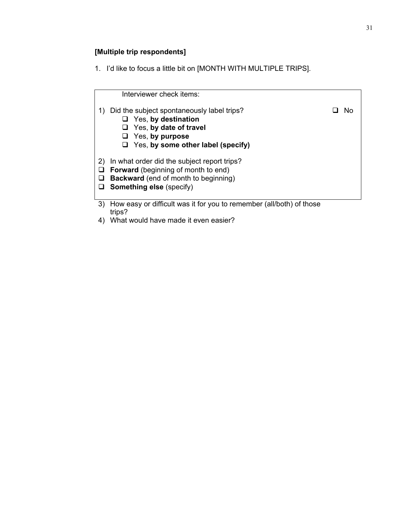# **[Multiple trip respondents]**

1. I'd like to focus a little bit on [MONTH WITH MULTIPLE TRIPS].

|              | Interviewer check items:                                                                                                                                                         |  |
|--------------|----------------------------------------------------------------------------------------------------------------------------------------------------------------------------------|--|
| 1)           | Did the subject spontaneously label trips?<br>$\Box$ Yes, by destination<br>$\Box$ Yes, by date of travel<br>$\Box$ Yes, by purpose<br>$\Box$ Yes, by some other label (specify) |  |
| $\mathbf{2}$ | In what order did the subject report trips?                                                                                                                                      |  |
| ⊔            | <b>Forward</b> (beginning of month to end)                                                                                                                                       |  |
|              | <b>Backward</b> (end of month to beginning)                                                                                                                                      |  |
| ⊔            | <b>Something else (specify)</b>                                                                                                                                                  |  |
| 3)           | How easy or difficult was it for you to remember (all/both) of those                                                                                                             |  |
|              | trips?                                                                                                                                                                           |  |
|              | 4) What would have made it even easier?                                                                                                                                          |  |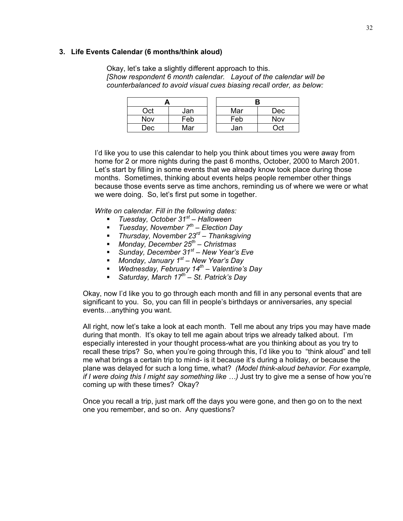#### **3. Life Events Calendar (6 months/think aloud)**

Okay, let's take a slightly different approach to this. *[Show respondent 6 month calendar. Layout of the calendar will be counterbalanced to avoid visual cues biasing recall order, as below:* 

| Oct | Jan             |  | Mar | Dec |  |
|-----|-----------------|--|-----|-----|--|
| Nov | Fe <sub>b</sub> |  | Feb | Nov |  |
| Dec | Mar             |  | Jan | ∩ct |  |

I'd like you to use this calendar to help you think about times you were away from home for 2 or more nights during the past 6 months, October, 2000 to March 2001. Let's start by filling in some events that we already know took place during those months. Sometimes, thinking about events helps people remember other things because those events serve as time anchors, reminding us of where we were or what we were doing. So, let's first put some in together.

*Write on calendar. Fill in the following dates:* 

- *Tuesday, October 31st Halloween*
- *Tuesday, November 7th Election Day*
- *Thursday, November 23rd Thanksgiving*
- *Monday, December 25th Christmas*
- *Sunday, December 31st New Year's Eve*
- *Monday, January 1st New Year's Day*
- *Wednesday, February 14th Valentine's Day*
- *Saturday, March 17th St. Patrick's Day*

Okay, now I'd like you to go through each month and fill in any personal events that are significant to you. So, you can fill in people's birthdays or anniversaries, any special events…anything you want.

All right, now let's take a look at each month. Tell me about any trips you may have made during that month. It's okay to tell me again about trips we already talked about. I'm especially interested in your thought process-what are you thinking about as you try to recall these trips? So, when you're going through this, I'd like you to "think aloud" and tell me what brings a certain trip to mind- is it because it's during a holiday, or because the plane was delayed for such a long time, what? *(Model think-aloud behavior. For example, if I were doing this I might say something like ...)* Just try to give me a sense of how you're coming up with these times? Okay?

Once you recall a trip, just mark off the days you were gone, and then go on to the next one you remember, and so on. Any questions?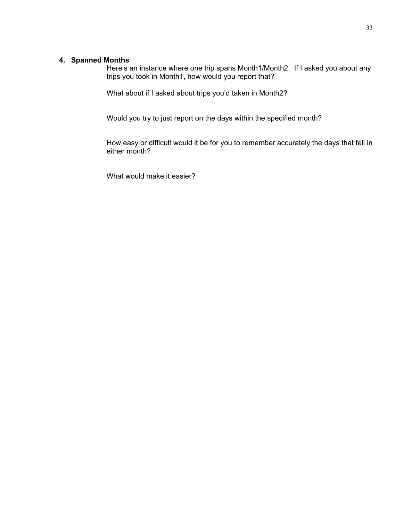#### **4. Spanned Months**

Here's an instance where one trip spans Month1/Month2. If I asked you about any trips you took in Month1, how would you report that?

What about if I asked about trips you'd taken in Month2?

Would you try to just report on the days within the specified month?

How easy or difficult would it be for you to remember accurately the days that fell in either month?

What would make it easier?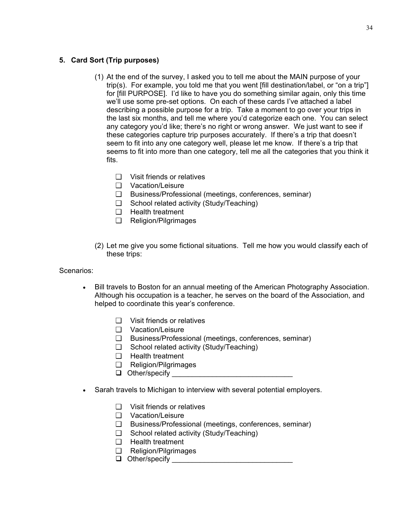# **5. Card Sort (Trip purposes)**

- (1) At the end of the survey, I asked you to tell me about the MAIN purpose of your trip(s). For example, you told me that you went [fill destination/label, or "on a trip"] for [fill PURPOSE]. I'd like to have you do something similar again, only this time we'll use some pre-set options. On each of these cards I've attached a label describing a possible purpose for a trip. Take a moment to go over your trips in the last six months, and tell me where you'd categorize each one. You can select any category you'd like; there's no right or wrong answer. We just want to see if these categories capture trip purposes accurately. If there's a trip that doesn't seem to fit into any one category well, please let me know. If there's a trip that seems to fit into more than one category, tell me all the categories that you think it fits.
	- ❑ Visit friends or relatives
	- ❑ Vacation/Leisure
	- ❑ Business/Professional (meetings, conferences, seminar)
	- ❑ School related activity (Study/Teaching)
	- ❑ Health treatment
	- ❑ Religion/Pilgrimages
- (2) Let me give you some fictional situations. Tell me how you would classify each of these trips:

# Scenarios:

- Bill travels to Boston for an annual meeting of the American Photography Association. Although his occupation is a teacher, he serves on the board of the Association, and helped to coordinate this year's conference.
	- ❑ Visit friends or relatives
	- ❑ Vacation/Leisure
	- ❑ Business/Professional (meetings, conferences, seminar)
	- ❑ School related activity (Study/Teaching)
	- ❑ Health treatment
	- ❑ Religion/Pilgrimages
	- $\Box$  Other/specify
- Sarah travels to Michigan to interview with several potential employers.
	- ❑ Visit friends or relatives
	- ❑ Vacation/Leisure
	- ❑ Business/Professional (meetings, conferences, seminar)
	- ❑ School related activity (Study/Teaching)
	- ❑ Health treatment
	- ❑ Religion/Pilgrimages
	- Other/specify \_\_\_\_\_\_\_\_\_\_\_\_\_\_\_\_\_\_\_\_\_\_\_\_\_\_\_\_\_\_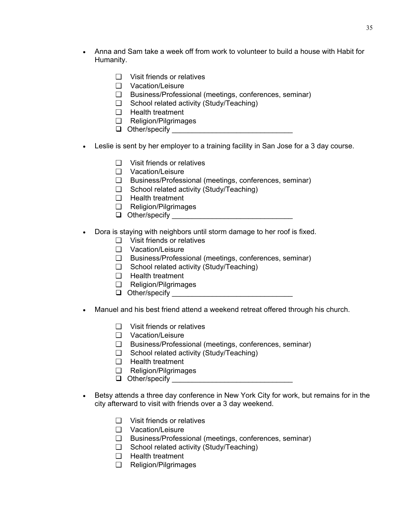- Anna and Sam take a week off from work to volunteer to build a house with Habit for Humanity.
	- ❑ Visit friends or relatives
	- ❑ Vacation/Leisure
	- ❑ Business/Professional (meetings, conferences, seminar)
	- ❑ School related activity (Study/Teaching)
	- ❑ Health treatment
	- ❑ Religion/Pilgrimages
	- Other/specify \_\_\_\_\_\_\_\_\_\_\_\_\_\_\_\_\_\_\_\_\_\_\_\_\_\_\_\_\_\_
- Leslie is sent by her employer to a training facility in San Jose for a 3 day course.
	- ❑ Visit friends or relatives
	- ❑ Vacation/Leisure
	- ❑ Business/Professional (meetings, conferences, seminar)
	- ❑ School related activity (Study/Teaching)
	- ❑ Health treatment
	- ❑ Religion/Pilgrimages
	- $\Box$  Other/specify  $\Box$
- Dora is staying with neighbors until storm damage to her roof is fixed.
	- ❑ Visit friends or relatives
	- ❑ Vacation/Leisure
	- ❑ Business/Professional (meetings, conferences, seminar)
	- ❑ School related activity (Study/Teaching)
	- ❑ Health treatment
	- ❑ Religion/Pilgrimages
	- Other/specify \_\_\_\_\_\_\_\_\_\_\_\_\_\_\_\_\_\_\_\_\_\_\_\_\_\_\_\_\_\_
- Manuel and his best friend attend a weekend retreat offered through his church.
	- ❑ Visit friends or relatives
	- ❑ Vacation/Leisure
	- ❑ Business/Professional (meetings, conferences, seminar)
	- ❑ School related activity (Study/Teaching)
	- ❑ Health treatment
	- ❑ Religion/Pilgrimages
	- Other/specify \_\_\_\_\_\_\_\_\_\_\_\_\_\_\_\_\_\_\_\_\_\_\_\_\_\_\_\_\_\_
- Betsy attends a three day conference in New York City for work, but remains for in the city afterward to visit with friends over a 3 day weekend.
	- ❑ Visit friends or relatives
	- ❑ Vacation/Leisure
	- ❑ Business/Professional (meetings, conferences, seminar)
	- ❑ School related activity (Study/Teaching)
	- ❑ Health treatment
	- ❑ Religion/Pilgrimages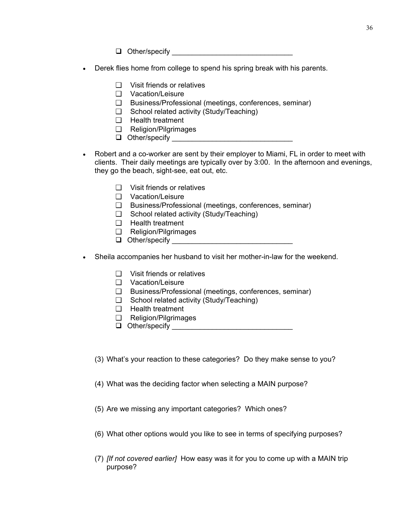Other/specify \_\_\_\_\_\_\_\_\_\_\_\_\_\_\_\_\_\_\_\_\_\_\_\_\_\_\_\_\_\_

- Derek flies home from college to spend his spring break with his parents.
	- ❑ Visit friends or relatives
	- ❑ Vacation/Leisure
	- ❑ Business/Professional (meetings, conferences, seminar)
	- ❑ School related activity (Study/Teaching)
	- ❑ Health treatment
	- ❑ Religion/Pilgrimages
	- $\Box$  Other/specify
- Robert and a co-worker are sent by their employer to Miami, FL in order to meet with clients. Their daily meetings are typically over by 3:00. In the afternoon and evenings, they go the beach, sight-see, eat out, etc.
	- ❑ Visit friends or relatives
	- ❑ Vacation/Leisure
	- ❑ Business/Professional (meetings, conferences, seminar)
	- ❑ School related activity (Study/Teaching)
	- ❑ Health treatment
	- ❑ Religion/Pilgrimages
	- Other/specify \_\_\_\_\_\_\_\_\_\_\_\_\_\_\_\_\_\_\_\_\_\_\_\_\_\_\_\_\_\_
- Sheila accompanies her husband to visit her mother-in-law for the weekend.
	- ❑ Visit friends or relatives
	- ❑ Vacation/Leisure
	- ❑ Business/Professional (meetings, conferences, seminar)
	- ❑ School related activity (Study/Teaching)
	- ❑ Health treatment
	- ❑ Religion/Pilgrimages
	- $\Box$  Other/specify  $\Box$
	- (3) What's your reaction to these categories? Do they make sense to you?
	- (4) What was the deciding factor when selecting a MAIN purpose?
	- (5) Are we missing any important categories? Which ones?
	- (6) What other options would you like to see in terms of specifying purposes?
	- (7) *[If not covered earlier]* How easy was it for you to come up with a MAIN trip purpose?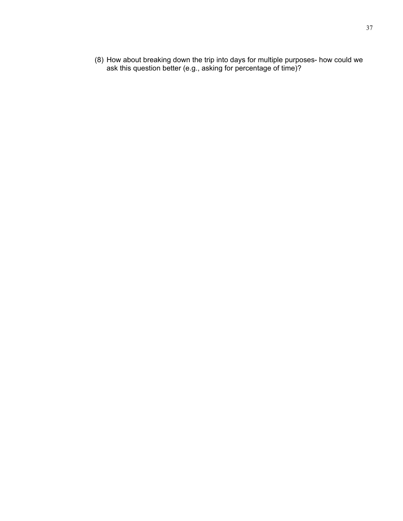(8) How about breaking down the trip into days for multiple purposes- how could we ask this question better (e.g., asking for percentage of time)?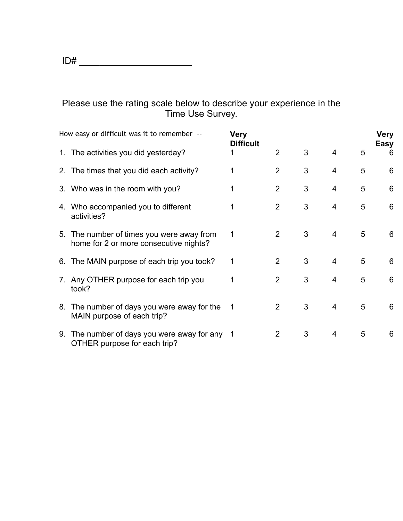# Please use the rating scale below to describe your experience in the Time Use Survey.

| How easy or difficult was it to remember --                                         | <b>Very</b><br><b>Difficult</b> |                |   |                |   | <b>Very</b><br>Easy |
|-------------------------------------------------------------------------------------|---------------------------------|----------------|---|----------------|---|---------------------|
| 1. The activities you did yesterday?                                                | 1                               | $\overline{2}$ | 3 | $\overline{4}$ | 5 | 6                   |
| 2. The times that you did each activity?                                            |                                 | $\overline{2}$ | 3 | 4              | 5 | 6                   |
| 3. Who was in the room with you?                                                    |                                 | $\overline{2}$ | 3 | 4              | 5 | 6                   |
| 4. Who accompanied you to different<br>activities?                                  |                                 | $\overline{2}$ | 3 | 4              | 5 | 6                   |
| 5. The number of times you were away from<br>home for 2 or more consecutive nights? | 1                               | 2              | 3 | $\overline{4}$ | 5 | 6                   |
| 6. The MAIN purpose of each trip you took?                                          | 1                               | 2              | 3 | $\overline{4}$ | 5 | 6                   |
| 7. Any OTHER purpose for each trip you<br>took?                                     | 1                               | 2              | 3 | 4              | 5 | 6                   |
| 8. The number of days you were away for the<br>MAIN purpose of each trip?           | $\mathbf 1$                     | $\overline{2}$ | 3 | 4              | 5 | 6                   |
| 9. The number of days you were away for any 1<br>OTHER purpose for each trip?       |                                 | $\overline{2}$ | 3 | 4              | 5 | 6                   |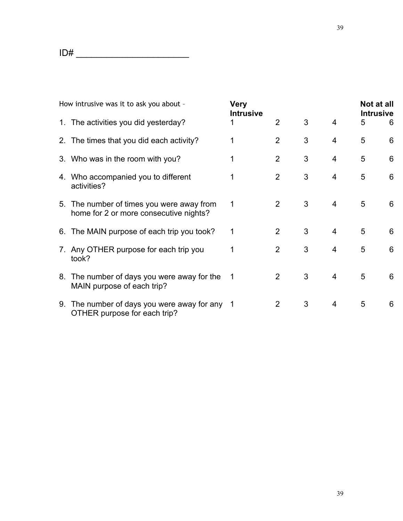| How intrusive was it to ask you about - |                                                                                     | Very<br><b>Intrusive</b> |                |   |                | Not at all<br><b>Intrusive</b> |   |
|-----------------------------------------|-------------------------------------------------------------------------------------|--------------------------|----------------|---|----------------|--------------------------------|---|
|                                         | 1. The activities you did yesterday?                                                |                          | $\overline{2}$ | 3 | $\overline{4}$ | 5                              | 6 |
|                                         | 2. The times that you did each activity?                                            |                          | $\overline{2}$ | 3 | 4              | 5                              | 6 |
|                                         | 3. Who was in the room with you?                                                    |                          | $\overline{2}$ | 3 | 4              | 5                              | 6 |
|                                         | 4. Who accompanied you to different<br>activities?                                  |                          | $\overline{2}$ | 3 | 4              | 5                              | 6 |
|                                         | 5. The number of times you were away from<br>home for 2 or more consecutive nights? | 1                        | 2              | 3 | 4              | 5                              | 6 |
|                                         | 6. The MAIN purpose of each trip you took?                                          | 1                        | $\overline{2}$ | 3 | $\overline{4}$ | 5                              | 6 |
|                                         | 7. Any OTHER purpose for each trip you<br>took?                                     |                          | 2              | 3 | $\overline{4}$ | 5                              | 6 |
|                                         | 8. The number of days you were away for the<br>MAIN purpose of each trip?           | 1                        | 2              | 3 | 4              | 5                              | 6 |
|                                         | 9. The number of days you were away for any 1<br>OTHER purpose for each trip?       |                          | 2              | 3 | 4              | 5                              | 6 |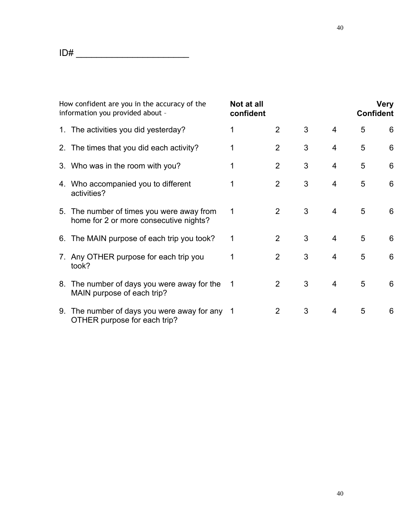| How confident are you in the accuracy of the<br>information you provided about -    | Not at all<br>confident |                |   |                | <b>Confident</b> | <b>Very</b> |
|-------------------------------------------------------------------------------------|-------------------------|----------------|---|----------------|------------------|-------------|
| 1. The activities you did yesterday?                                                | 1                       | $\overline{2}$ | 3 | 4              | 5                | 6           |
| 2. The times that you did each activity?                                            |                         | $\overline{2}$ | 3 | $\overline{4}$ | 5                | 6           |
| 3. Who was in the room with you?                                                    |                         | $\overline{2}$ | 3 | $\overline{4}$ | 5                | 6           |
| 4. Who accompanied you to different<br>activities?                                  | 1                       | $\overline{2}$ | 3 | $\overline{4}$ | 5                | 6           |
| 5. The number of times you were away from<br>home for 2 or more consecutive nights? | 1                       | 2              | 3 | $\overline{4}$ | 5                | 6           |
| 6. The MAIN purpose of each trip you took?                                          | 1                       | $\overline{2}$ | 3 | $\overline{4}$ | 5                | 6           |
| 7. Any OTHER purpose for each trip you<br>took?                                     | 1                       | $\overline{2}$ | 3 | $\overline{4}$ | 5                | 6           |
| 8. The number of days you were away for the<br>MAIN purpose of each trip?           | 1                       | $\overline{2}$ | 3 | 4              | 5                | 6           |
| 9. The number of days you were away for any 1<br>OTHER purpose for each trip?       |                         | $\overline{2}$ | 3 | 4              | 5                | 6           |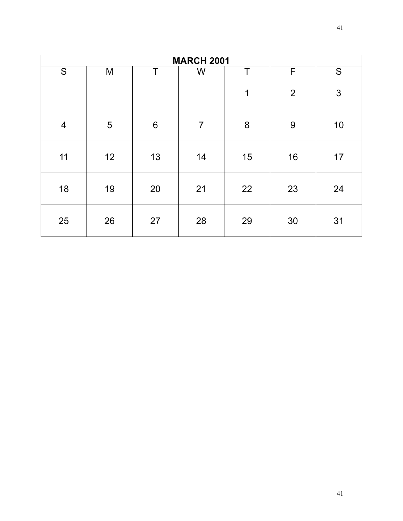| <b>MARCH 2001</b> |    |    |                |         |                |               |  |  |
|-------------------|----|----|----------------|---------|----------------|---------------|--|--|
| S                 | M  | т  | W              | Т       | F              | ${\mathsf S}$ |  |  |
|                   |    |    |                | 1       | $\overline{2}$ | 3             |  |  |
| $\overline{4}$    | 5  | 6  | $\overline{7}$ | $\bf 8$ | 9              | 10            |  |  |
| 11                | 12 | 13 | 14             | 15      | 16             | 17            |  |  |
| 18                | 19 | 20 | 21             | 22      | 23             | 24            |  |  |
| 25                | 26 | 27 | 28             | 29      | 30             | 31            |  |  |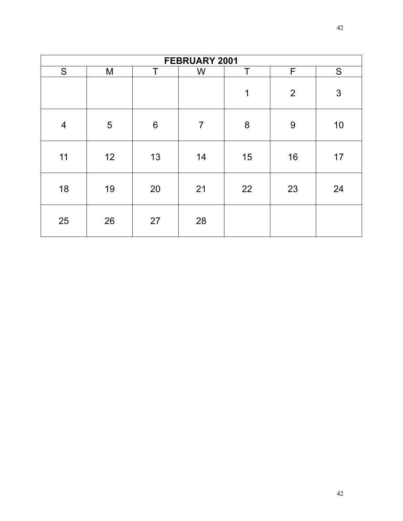| FEBRUARY 2001  |    |                 |                |    |                |    |  |  |
|----------------|----|-----------------|----------------|----|----------------|----|--|--|
| ${\mathsf S}$  | M  | т               | W              | т  | F              | S  |  |  |
|                |    |                 |                | 1  | $\overline{2}$ | 3  |  |  |
| $\overline{4}$ | 5  | $6\phantom{1}6$ | $\overline{7}$ | 8  | 9              | 10 |  |  |
| 11             | 12 | 13              | 14             | 15 | 16             | 17 |  |  |
| 18             | 19 | 20              | 21             | 22 | 23             | 24 |  |  |
| 25             | 26 | 27              | 28             |    |                |    |  |  |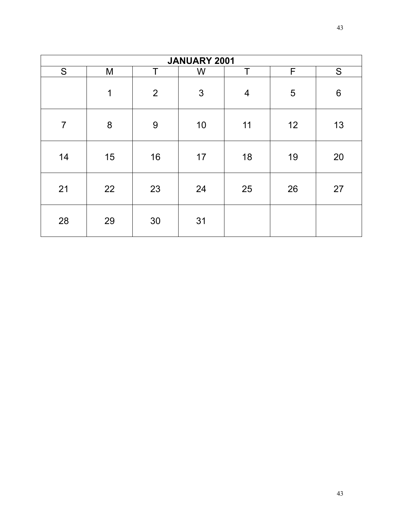| JANUARY 2001   |    |                |    |                         |    |                |  |  |
|----------------|----|----------------|----|-------------------------|----|----------------|--|--|
| S              | M  | T              | W  | Т                       | F  | S              |  |  |
|                | 1  | $\overline{2}$ | 3  | $\overline{\mathbf{4}}$ | 5  | $6\phantom{1}$ |  |  |
| $\overline{7}$ | 8  | 9              | 10 | 11                      | 12 | 13             |  |  |
| 14             | 15 | 16             | 17 | 18                      | 19 | 20             |  |  |
| 21             | 22 | 23             | 24 | 25                      | 26 | 27             |  |  |
| 28             | 29 | 30             | 31 |                         |    |                |  |  |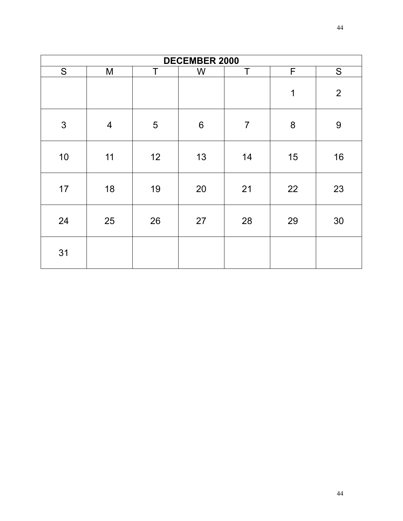| <b>DECEMBER 2000</b> |                         |    |                 |                |              |                |  |  |
|----------------------|-------------------------|----|-----------------|----------------|--------------|----------------|--|--|
| S                    | M                       | T  | W               | Τ              | $\mathsf{F}$ | S              |  |  |
|                      |                         |    |                 |                | $\mathbf 1$  | $\overline{2}$ |  |  |
| $\mathfrak{S}$       | $\overline{\mathbf{4}}$ | 5  | $6\phantom{1}6$ | $\overline{7}$ | 8            | 9              |  |  |
| 10                   | 11                      | 12 | 13              | 14             | 15           | 16             |  |  |
| 17                   | 18                      | 19 | 20              | 21             | 22           | 23             |  |  |
| 24                   | 25                      | 26 | 27              | 28             | 29           | 30             |  |  |
| 31                   |                         |    |                 |                |              |                |  |  |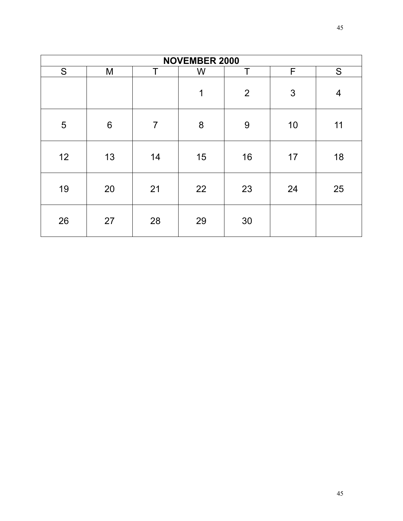| <b>NOVEMBER 2000</b> |    |                |    |                |    |                |  |  |
|----------------------|----|----------------|----|----------------|----|----------------|--|--|
| S                    | M  | т              | W  | Т              | F  | S              |  |  |
|                      |    |                | 1  | $\overline{2}$ | 3  | $\overline{4}$ |  |  |
| 5                    | 6  | $\overline{7}$ | 8  | 9              | 10 | 11             |  |  |
| 12                   | 13 | 14             | 15 | 16             | 17 | 18             |  |  |
| 19                   | 20 | 21             | 22 | 23             | 24 | 25             |  |  |
| 26                   | 27 | 28             | 29 | 30             |    |                |  |  |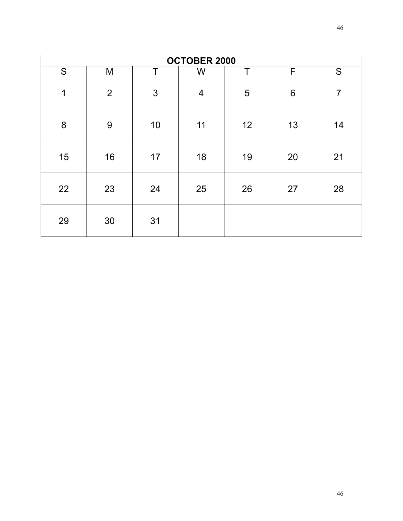| <b>OCTOBER 2000</b> |                |    |                |    |    |                |  |  |
|---------------------|----------------|----|----------------|----|----|----------------|--|--|
| S                   | M              | т  | W              | Т  | F  | S              |  |  |
| 1                   | $\overline{2}$ | 3  | $\overline{4}$ | 5  | 6  | $\overline{7}$ |  |  |
| 8                   | 9              | 10 | 11             | 12 | 13 | 14             |  |  |
| 15                  | 16             | 17 | 18             | 19 | 20 | 21             |  |  |
| 22                  | 23             | 24 | 25             | 26 | 27 | 28             |  |  |
| 29                  | 30             | 31 |                |    |    |                |  |  |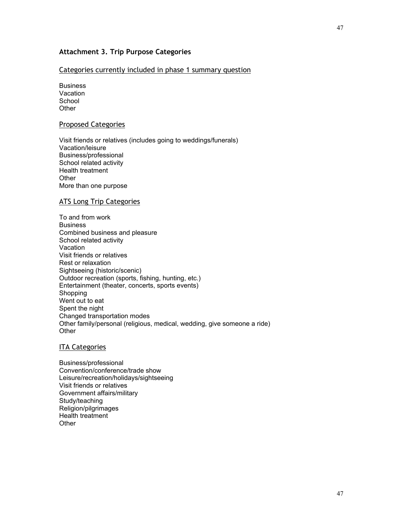# **Attachment 3. Trip Purpose Categories**

#### Categories currently included in phase 1 summary question

**Business** Vacation **School Other** 

#### Proposed Categories

Visit friends or relatives (includes going to weddings/funerals) Vacation/leisure Business/professional School related activity Health treatment **Other** More than one purpose

#### ATS Long Trip Categories

To and from work **Business** Combined business and pleasure School related activity **Vacation** Visit friends or relatives Rest or relaxation Sightseeing (historic/scenic) Outdoor recreation (sports, fishing, hunting, etc.) Entertainment (theater, concerts, sports events) Shopping Went out to eat Spent the night Changed transportation modes Other family/personal (religious, medical, wedding, give someone a ride) **Other** 

#### ITA Categories

Business/professional Convention/conference/trade show Leisure/recreation/holidays/sightseeing Visit friends or relatives Government affairs/military Study/teaching Religion/pilgrimages Health treatment **Other**